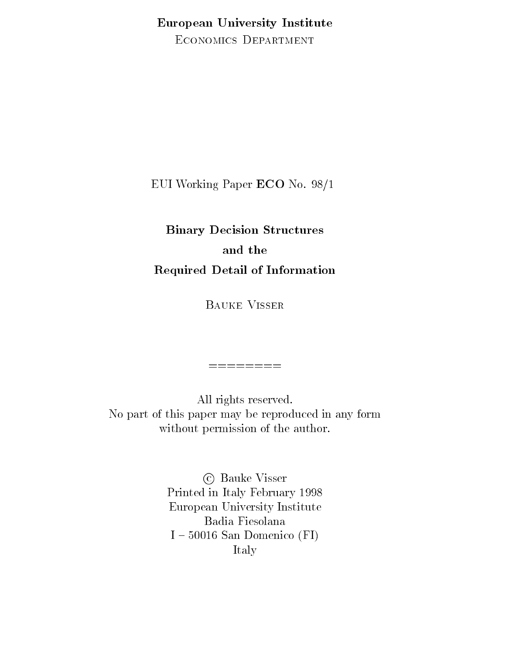European University Institute ECONOMICS DEPARTMENT

EUI Working Paper ECO No. 98/1

# Binary Decision Structures and the Required Detail of Information

Bauke Visser

All rights reserved. No part of this paper may be reproduced in any form without permission of the author.

========

c Bauke Visser Printed in Italy February 1998 European University Institute Badia Fiesolana  $I - 50016$  San Domenico (FI) Italy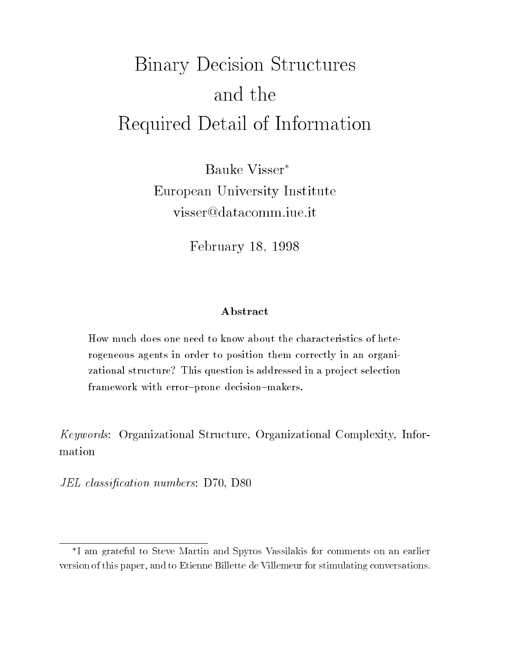# Binary Decision Structures and the Required Detail of Information

Bauke Visser European University Institute

February 18, 1998

#### Abstract

How much does one need to know about the characteristics of heterogeneous agents in order to position them correctly in an organizational structure? This question is addressed in a project selection framework with error-prone decision-makers.

Keywords: Organizational Structure, Organizational Complexity, Information

JEL classification numbers: D70, D80

I am grateful to Steve Martin and Spyros Vassilakis for comments on an earlierversion of this paper, and to Etienne Billette de Villemeur for stimulating conversations.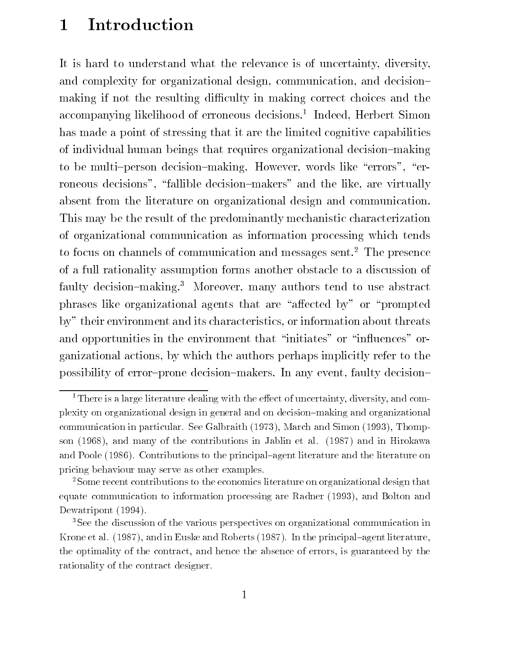# 1 Introduction

It is hard to understand what the relevance is of uncertainty, diversity, and complexity for organizational design, communication, and decisionmaking if not the resulting difficulty in making correct choices and the accompanying iikelinood of erroneous decisions." Thdeed, Herbert Simon has made a point of stressing that it are the limited cognitive capabilities of individual human beings that requires organizational decision{making to be multi-person decision-making. However, words like "errors", "erroneous decisions", "fallible decision-makers" and the like, are virtually absent from the literature on organizational design and communication. This may be the result of the predominantly mechanistic characterization of organizational communication as information processing which tends to focus on channels of communication and messages sent.<sup>2</sup> The presence of a full rationality assumption forms another obstacle to a discussion of faulty decision-making.<sup>3</sup> Moreover, many authors tend to use abstract phrases like organizational agents that are "affected by" or "prompted" by" their environment and its characteristics, or information about threats and opportunities in the environment that "initiates" or "influences" organizational actions, by which the authors perhaps implicitly refer to the possibility of error-prone decision-makers. In any event, faulty decision-

<sup>&</sup>lt;sup>1</sup>There is a large literature dealing with the effect of uncertainty, diversity, and complexity on organizational design in general and on decision{making and organizationalcommunication in particular. See Galbraith (1973), March and Simon (1993), Thompson (1968), and many of the contributions in Jablin et al. (1987) and in Hirokawa and Poole (1986). Contributions to the principal-agent literature and the literature on pricing behaviour may serve as other examples.

<sup>&</sup>lt;sup>2</sup> Some recent contributions to the economics literature on organizational design that equate communication to information processing are Radner (1993), and Bolton andDewatripont (1994).

<sup>&</sup>lt;sup>3</sup>See the discussion of the various perspectives on organizational communication in Krone et al.  $(1987)$ , and in Euske and Roberts (1987). In the principal-agent literature, the optimality of the contract, and hence the absence of errors, is guaranteed by therationality of the contract designer.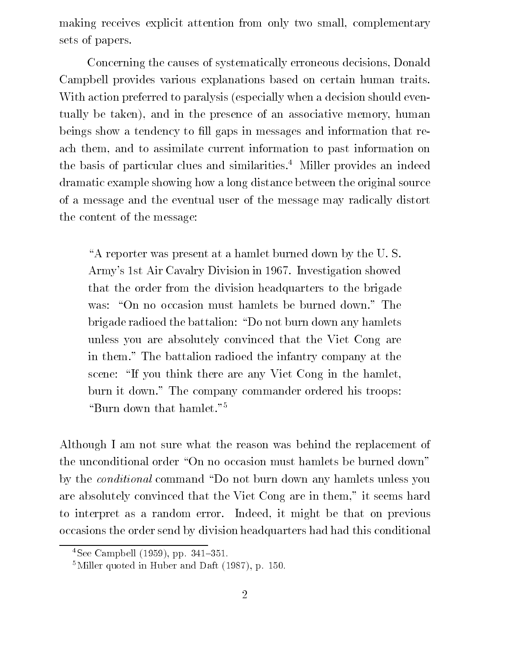making receives explicit attention from only two small, complementary sets of papers.

Concerning the causes of systematically erroneous decisions, Donald Campbell provides various explanations based on certain human traits. With action preferred to paralysis (especially when a decision should eventually be taken), and in the presence of an associative memory, human beings show a tendency to fill gaps in messages and information that reach them, and to assimilate current information to past information on the basis of particular clues and similarities.<sup>4</sup> Miller provides an indeed dramatic example showing how a long distance between the original source of a message and the eventual user of the message may radically distort the content of the message:

"A reporter was present at a hamlet burned down by the U.S. Army's 1st Air Cavalry Division in 1967. Investigation showed that the order from the division headquarters to the brigade was: "On no occasion must hamlets be burned down." The brigade radioed the battalion: "Do not burn down any hamlets unless you are absolutely convinced that the Viet Cong are in them." The battalion radioed the infantry company at the scene: "If you think there are any Viet Cong in the hamlet, burn it down." The company commander ordered his troops: "Burn down that hamlet."<sup>5</sup>

Although I am not sure what the reason was behind the replacement of the unconditional order "On no occasion must hamlets be burned down" by the *conditional* command "Do not burn down any hamlets unless you are absolutely convinced that the Viet Cong are in them," it seems hard to interpret as a random error. Indeed, it might be that on previous occasions the order send by division headquarters had had this conditional

 $4$ See Campbell (1959), pp. 341-351.

 $5$ Miller quoted in Huber and Daft (1987), p. 150.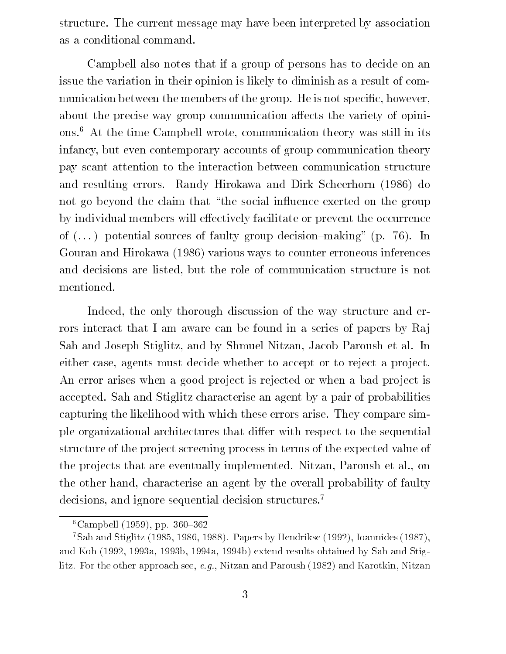structure. The current message may have been interpreted by association as a conditional command.

Campbell also notes that if a group of persons has to decide on an issue the variation in their opinion is likely to diminish as a result of communication between the members of the group. He is not specific, however, about the precise way group communication affects the variety of opinions.6 At the time Campbell wrote, communication theory was still in its infancy, but even contemporary accounts of group communication theory pay scant attention to the interaction between communication structure and resulting errors. Randy Hirokawa and Dirk Scheerhorn (1986) do not go beyond the claim that "the social influence exerted on the group by individual members will effectively facilitate or prevent the occurrence of  $(\ldots)$  potential sources of faulty group decision-making" (p. 76). In Gouran and Hirokawa (1986) various ways to counter erroneous inferences and decisions are listed, but the role of communication structure is not mentioned.

Indeed, the only thorough discussion of the way structure and errors interact that I am aware can be found in a series of papers by Raj Sah and Joseph Stiglitz, and by Shmuel Nitzan, Jacob Paroush et al. In either case, agents must decide whether to accept or to reject a project. An error arises when a good project is rejected or when a bad project is accepted. Sah and Stiglitz characterise an agent by a pair of probabilities capturing the likelihood with which these errors arise. They compare simple organizational architectures that differ with respect to the sequential structure of the pro ject screening process in terms of the expected value of the pro jects that are eventually implemented. Nitzan, Paroush et al., on the other hand, characterise an agent by the overall probability of faulty decisions, and ignore sequential decision structures.<sup>7</sup>

 $6$ Campbell (1959), pp. 360-362

 $^7$ Sah and Stiglitz (1985, 1986, 1988). Papers by Hendrikse (1992), Ioannides (1987), and Koh (1992, 1993a, 1993b, 1994a, 1994b) extend results obtained by Sah and Stiglitz. For the other approach see, e.g., Nitzan and Paroush (1982) and Karotkin, Nitzan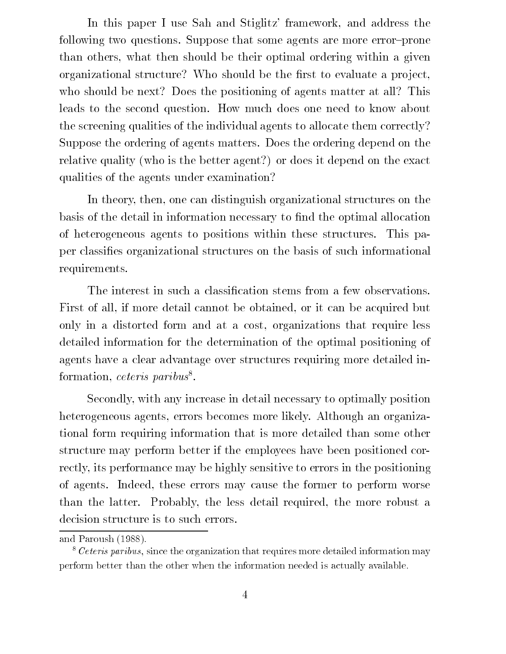In this paper I use Sah and Stiglitz' framework, and address the following two questions. Suppose that some agents are more error-prone than others, what then should be their optimal ordering within a given organizational structure? Who should be the first to evaluate a project, who should be next? Does the positioning of agents matter at all? This leads to the second question. How much does one need to know about the screening qualities of the individual agents to allocate them correctly? Suppose the ordering of agents matters. Does the ordering depend on the relative quality (who is the better agent?) or does it depend on the exact qualities of the agents under examination?

In theory, then, one can distinguish organizational structures on the basis of the detail in information necessary to find the optimal allocation of heterogeneous agents to positions within these structures. This paper classies organizational structures on the basis of such informational requirements.

The interest in such a classification stems from a few observations. First of all, if more detail cannot be obtained, or it can be acquired but only in a distorted form and at a cost, organizations that require less detailed information for the determination of the optimal positioning of agents have a clear advantage over structures requiring more detailed inrormation, *ceteris parious* 

Secondly, with any increase in detail necessary to optimally position heterogeneous agents, errors becomes more likely. Although an organizational form requiring information that is more detailed than some other structure may perform better if the employees have been positioned correctly, its performance may be highly sensitive to errors in the positioning of agents. Indeed, these errors may cause the former to perform worse than the latter. Probably, the less detail required, the more robust a decision structure is to such errors.

and Paroush (1988).

 $8$  Ceteris paribus, since the organization that requires more detailed information may perform better than the other when the information needed is actually available.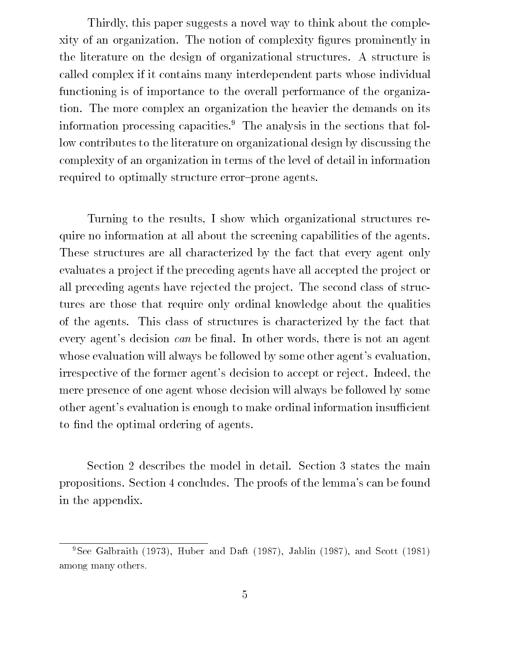Thirdly, this paper suggests a novel way to think about the complexity of an organization. The notion of complexity gures prominently in the literature on the design of organizational structures. A structure is called complex if it contains many interdependent parts whose individual functioning is of importance to the overall performance of the organization. The more complex an organization the heavier the demands on its information processing capacities.<sup>9</sup> The analysis in the sections that follow contributes to the literature on organizational design by discussing the complexity of an organization in terms of the level of detail in information required to optimally structure error-prone agents.

Turning to the results, I show which organizational structures require no information at all about the screening capabilities of the agents. These structures are all characterized by the fact that every agent only evaluates a project if the preceding agents have all accepted the project or all preceding agents have rejected the project. The second class of structures are those that require only ordinal knowledge about the qualities of the agents. This class of structures is characterized by the fact that every agent's decision  $can$  be final. In other words, there is not an agent whose evaluation will always be followed by some other agent's evaluation, irrespective of the former agent's decision to accept or reject. Indeed, the mere presence of one agent whose decision will always be followed by some other agent's evaluation is enough to make ordinal information insufficient to find the optimal ordering of agents.

Section 2 describes the model in detail. Section 3 states the main propositions. Section 4 concludes. The proofs of the lemma's can be found in the appendix.

<sup>&</sup>lt;sup>9</sup>See Galbraith (1973), Huber and Daft (1987), Jablin (1987), and Scott (1981) among many others.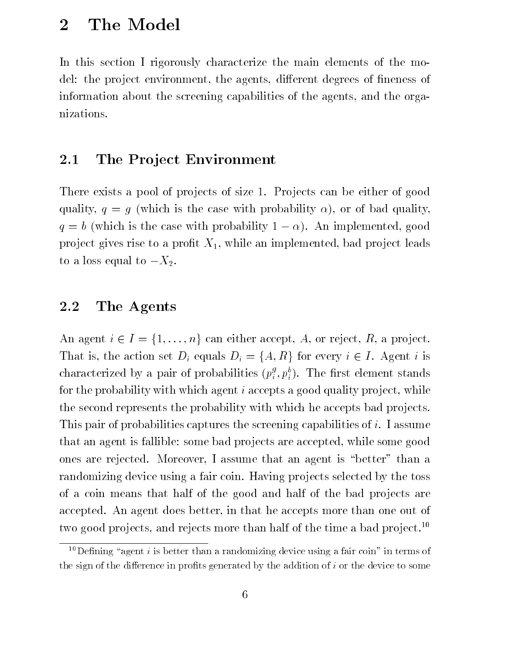# 2 The Model

In this section I rigorously characterize the main elements of the model: the project environment, the agents, different degrees of fineness of information about the screening capabilities of the agents, and the organizations.

### 2.1 The Project Environment

There exists a pool of projects of size 1. Projects can be either of good quality,  $q = g$  (which is the case with probability  $\alpha$ ), or of bad quality,  $q = b$  (which is the case with probability  $1 - \alpha$ ). An implemented, good project gives rise to a profit  $X_1$ , while an implemented, bad project leads to a loss equal to  $-X_2$ .

#### 2.2 The Agents

An agent  $i \in I = \{1,\ldots,n\}$  can either accept, A, or reject, R, a project. That is, the action set  $D_i$  equals  $D_i = \{A, R\}$  for every  $i \in I$ . Agent i is characterized by a pair of probabilities  $(p^s_i, p^v_i)$ . The first element stands for the probability with which agent  $i$  accepts a good quality project, while the second represents the probability with which he accepts bad pro jects. This pair of probabilities captures the screening capabilities of i. I assume that an agent is fallible: some bad pro jects are accepted, while some good ones are rejected. Moreover, I assume that an agent is \better" than a randomizing device using a fair coin. Having projects selected by the toss of a coin means that half of the good and half of the bad projects are accepted. An agent does better, in that he accepts more than one out of two good projects, and rejects more than half of the time a bad project.<sup>10</sup>

 $\tilde{\phantom{a}}$  defining agent  $i$  is better than a randomizing device using a fair coin . In terms of  $\phantom{a}$ the sign of the dierence in prots generated by the addition of i or the device to some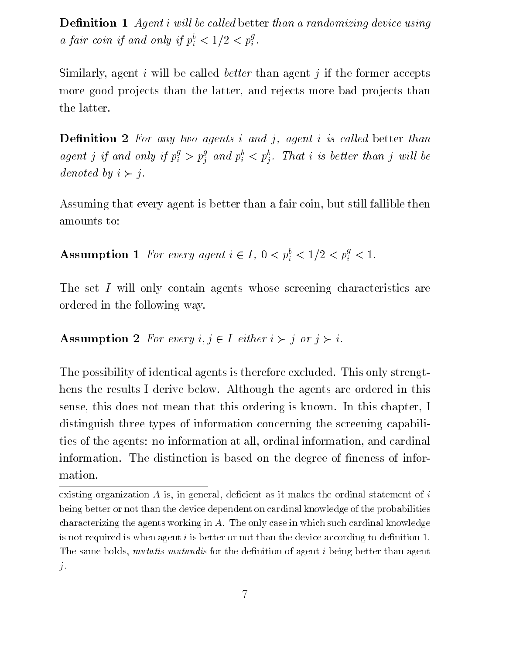**Definition 1** Agent i will be called better than a randomizing device using a fair coin if and only if  $p_i^* < 1/2 < p_i^*$ .

Similarly, agent i will be called *better* than agent j if the former accepts more good projects than the latter, and rejects more bad projects than the latter.

**Definition 2** For any two agents i and j, agent i is called better than agent j if and only if  $p_i^* > p_i^*$  and  $p_i^* < p_i^*$ . That i is better than j will be denoted by  $i \succ j$ .

Assuming that every agent is better than a fair coin, but still fallible then amounts to:

**Assumption 1** For every agent  $i \in I$ ,  $0 < p_i^{\circ} < 1/2 < p_i^{\circ} < 1$ .

The set I will only contain agents whose screening characteristics are ordered in the following way.

### Assumption 2 For every  $i, j \in I$  either  $i \succ j$  or  $j \succ i$ .

The possibility of identical agents is therefore excluded. This only strengthens the results I derive below. Although the agents are ordered in this sense, this does not mean that this ordering is known. In this chapter, I distinguish three types of information concerning the screening capabilities of the agents: no information at all, ordinal information, and cardinal information. The distinction is based on the degree of fineness of information.

 $\alpha$ isting organization A is, in general, denerut as it makes the ordinal statement or  $i$ being better or not than the device dependent on cardinal knowledge of the probabilitiescharacterizing the agents working in A. The only case in which such cardinal knowledge is not required is when agent i is better or not than the device according to denition 1. The same holds,  $mwa\bar{u}v\bar{v}$  mutations for the definition of agent  $i$  being better than agent  $\pm$ j.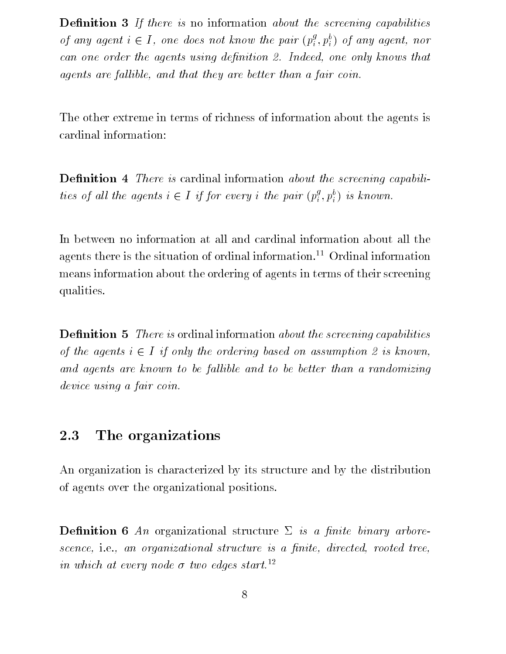**Definition 3** If there is no information about the screening capabilities of any agent  $i \in I$ , one does not know the pair  $(p_i^s, p_i^e)$  of any agent, nor can one order the agents using definition 2. Indeed, one only knows that agents are fallible, and that they are better than a fair coin.

The other extreme in terms of richness of information about the agents is cardinal information:

**Definition 4** There is cardinal information about the screening capabilities of all the agents  $i \in I$  if for every i the pair  $(p_i^s, p_i^v)$  is known.

In between no information at all and cardinal information about all the agents there is the situation of ordinal information.<sup>11</sup> Ordinal information means information about the ordering of agents in terms of their screening qualities.

**Definition 5** There is ordinal information about the screening capabilities of the agents  $i \in I$  if only the ordering based on assumption 2 is known, and agents are known to be fallible and to be better than a randomizing device using a fair coin.

#### 2.3 The organizations

An organization is characterized by its structure and by the distribution of agents over the organizational positions.

**Definition 6** An organizational structure  $\Sigma$  is a finite binary arborescence, i.e., an organizational structure is a finite, directed, rooted tree, in which at every node  $\sigma$  two edges start.<sup>12</sup>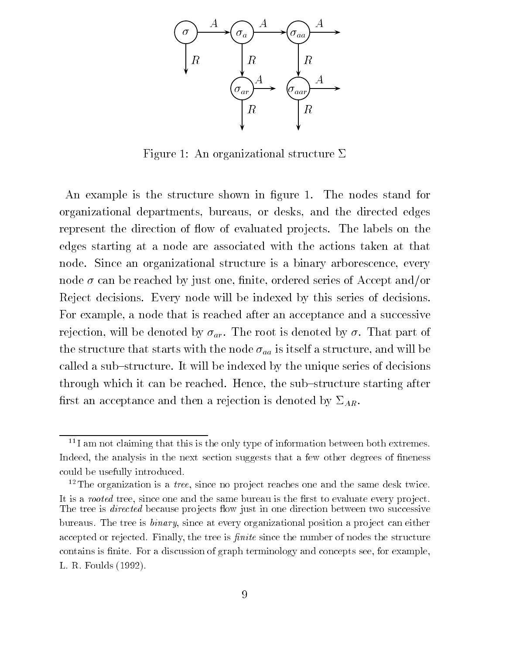

Figure 1: An organizational structure  $\Sigma$ 

An example is the structure shown in figure 1. The nodes stand for organizational departments, bureaus, or desks, and the directed edges represent the direction of flow of evaluated projects. The labels on the edges starting at a node are associated with the actions taken at that node. Since an organizational structure is a binary arborescence, every node  $\sigma$  can be reached by just one, finite, ordered series of Accept and/or Reject decisions. Every node will be indexed by this series of decisions. For example, a node that is reached after an acceptance and a successive rejection, will be denoted by  $\sigma_{ar}$ . The root is denoted by  $\sigma$ . That part of the structure that starts with the node  $\sigma_{aa}$  is itself a structure, and will be called a sub-structure. It will be indexed by the unique series of decisions through which it can be reached. Hence, the sub-structure starting after first an acceptance and then a rejection is denoted by  $\Sigma_{AR}$ .

<sup>&</sup>lt;sup>11</sup>I am not claiming that this is the only type of information between both extremes. Indeed, the analysis in the next section suggests that a few other degrees of fineness could be usefully introduced.

 $\lq$  -  $\lq$  ne organization is a *tree*, since no project reaches one and the same desk twice. It is a rooted tree, since one and the same bureau is the rst to evaluate every pro ject. The tree is directed because pro jects 
ow just in one direction between two successive bureaus. The tree is binary, since at every organizational position a pro ject can either accepted or rejected. Finally, the tree is 161666. Shifte the human of nodes the structure contains is finite. For a discussion of graph terminology and concepts see, for example, L. R. Foulds (1992).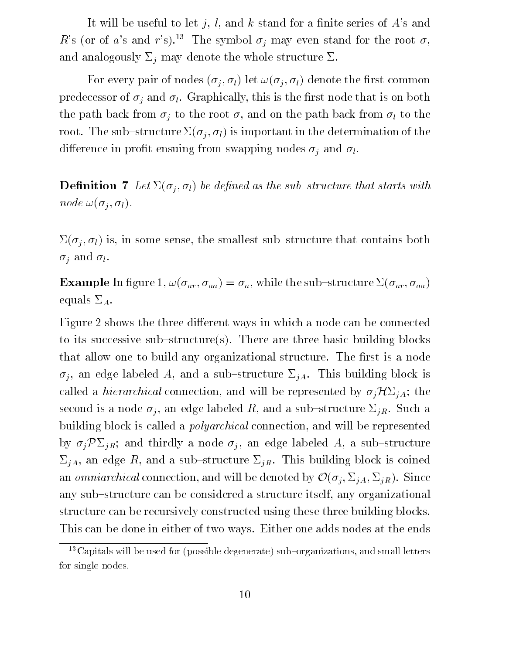It will be useful to let j, l, and k stand for a finite series of  $A$ 's and R's (or of a's and r's).<sup>13</sup> The symbol  $\sigma_j$  may even stand for the root  $\sigma$ , and analogously  $\Sigma_j$  may denote the whole structure  $\Sigma$ .

For every pair of nodes  $(\sigma_i, \sigma_l)$  let  $\omega(\sigma_i, \sigma_l)$  denote the first common predecessor of  $\sigma_j$  and  $\sigma_l$ . Graphically, this is the first node that is on both the path back from  $\sigma_j$  to the root  $\sigma$ , and on the path back from  $\sigma_l$  to the root. The sub-structure  $\Sigma(\sigma_j, \sigma_l)$  is important in the determination of the difference in profit ensuing from swapping nodes  $\sigma_i$  and  $\sigma_l$ .

**Definition 7** Let  $\Sigma(\sigma_j, \sigma_l)$  be defined as the sub-structure that starts with node  $\omega(\sigma_i, \sigma_l)$ .

 $\Sigma(\sigma_i, \sigma_l)$  is, in some sense, the smallest sub-structure that contains both  $\sigma_i$  and  $\sigma_l$ .

**Example** In figure 1,  $\omega(\sigma_{ar}, \sigma_{aa}) = \sigma_a$ , while the sub-structure  $\Sigma(\sigma_{ar}, \sigma_{aa})$ equals  $\Sigma_A$ .

Figure 2 shows the three different ways in which a node can be connected to its successive sub-structure(s). There are three basic building blocks that allow one to build any organizational structure. The first is a node  $\sigma_j$ , an edge labeled A, and a sub-structure  $\Sigma_{jA}$ . This building block is called a *hierarchical* connection, and will be represented by  $\sigma_j \mathcal{H} \Sigma_{jA}$ ; the second is a node  $\sigma_j$ , an edge labeled R, and a sub-structure  $\Sigma_{jR}$ . Such a building block is called a polyarchical connection, and will be represented by  $\sigma_j \mathcal{P} \Sigma_{jR}$ ; and thirdly a node  $\sigma_j$ , an edge labeled A, a sub-structure  $\Sigma_{jA}$ , an edge R, and a sub-structure  $\Sigma_{jR}$ . This building block is coined an *omniarchical* connection, and will be denoted by  $\mathcal{O}(\sigma_j, \Sigma_{jA}, \Sigma_{jR})$ . Since any sub-structure can be considered a structure itself, any organizational structure can be recursively constructed using these three building blocks. This can be done in either of two ways. Either one adds nodes at the ends

 $13$  Capitals will be used for (possible degenerate) sub-organizations, and small letters for single nodes.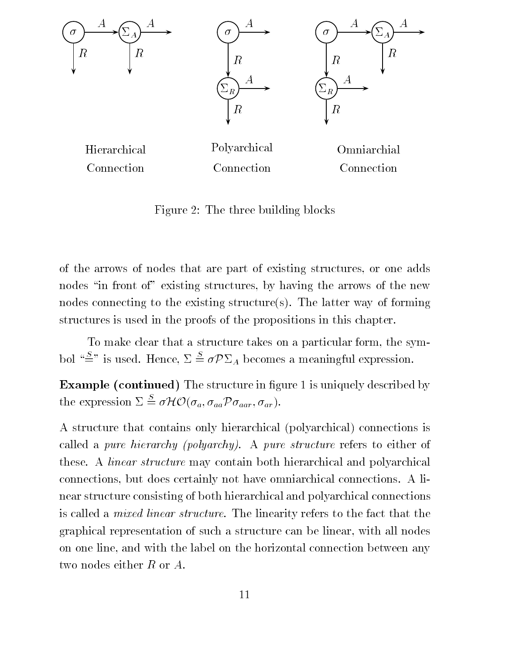

Figure 2: The three building blocks

of the arrows of nodes that are part of existing structures, or one adds nodes "in front of" existing structures, by having the arrows of the new nodes connecting to the existing structure(s). The latter way of forming structures is used in the proofs of the propositions in this chapter.

To make clear that a structure takes on a particular form, the symbol " $\stackrel{S}{=}$ " is used. Hence,  $\Sigma \stackrel{S}{=} \sigma \mathcal{P} \Sigma_A$  becomes a meaningful expression.

**Example (continued)** The structure in figure 1 is uniquely described by the expression  $\Sigma \stackrel{S}{=} \sigma \mathcal{H} \mathcal{O}(\sigma_a, \sigma_{aa} \mathcal{P} \sigma_{aar}, \sigma_{ar}).$ 

A structure that contains only hierarchical (polyarchical) connections is called a pure hierarchy (polyarchy). A pure structure refers to either of these. A linear structure may contain both hierarchical and polyarchical connections, but does certainly not have omniarchical connections. A linear structure consisting of both hierarchical and polyarchical connections is called a mixed linear structure. The linearity refers to the fact that the graphical representation of such a structure can be linear, with all nodes on one line, and with the label on the horizontal connection between any two nodes either  $R$  or  $A$ .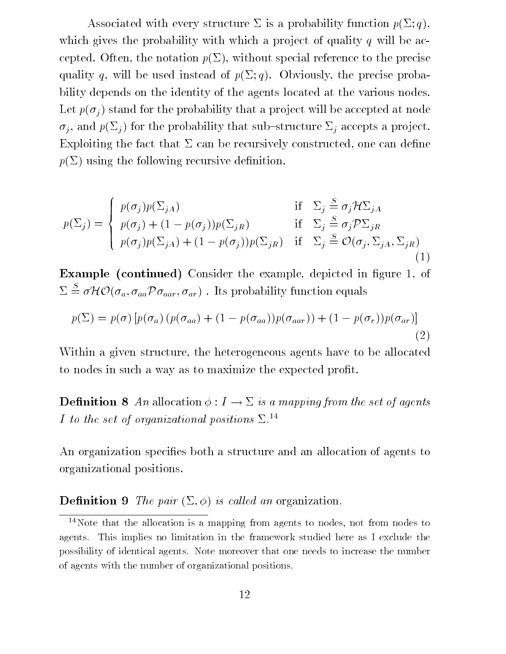Associated with every structure  $\Sigma$  is a probability function  $p(\Sigma; q)$ , which gives the probability with which a project of quality q will be accepted. Often, the notation  $p(\Sigma)$ , without special reference to the precise quality q, will be used instead of  $p(\Sigma; q)$ . Obviously, the precise probability depends on the identity of the agents located at the various nodes. Let  $p(\sigma_i)$  stand for the probability that a project will be accepted at node  $\sigma_i$ , and  $p(\Sigma_i)$  for the probability that sub-structure  $\Sigma_i$  accepts a project. Exploiting the fact that  $\Sigma$  can be recursively constructed, one can define  $p(\Sigma)$  using the following recursive definition.

$$
p(\Sigma_j) = \begin{cases} p(\sigma_j)p(\Sigma_{jA}) & \text{if } \Sigma_j \stackrel{S}{=} \sigma_j \mathcal{H} \Sigma_{jA} \\ p(\sigma_j) + (1 - p(\sigma_j))p(\Sigma_{jR}) & \text{if } \Sigma_j \stackrel{S}{=} \sigma_j \mathcal{P} \Sigma_{jR} \\ p(\sigma_j)p(\Sigma_{jA}) + (1 - p(\sigma_j))p(\Sigma_{jR}) & \text{if } \Sigma_j \stackrel{S}{=} \mathcal{O}(\sigma_j, \Sigma_{jA}, \Sigma_{jR}) \end{cases}
$$
(1)

Example (continued) Consider the example, depicted in figure 1, of  $\Sigma \stackrel{\scriptscriptstyle \omega}{=} \sigma \mathcal{H} \mathcal{O}(\sigma_a, \sigma_{aa} \mathcal{P} \sigma_{aar}, \sigma_{ar})$ . Its probability function equals

$$
p(\Sigma) = p(\sigma) \left[ p(\sigma_a) \left( p(\sigma_{aa}) + (1 - p(\sigma_{aa})) p(\sigma_{aar}) \right) + (1 - p(\sigma_r)) p(\sigma_{ar}) \right]
$$
\n(2)

Within a given structure, the heterogeneous agents have to be allocated to nodes in such a way as to maximize the expected profit.

**Definition 8** An allocation  $\phi: I \to \Sigma$  is a mapping from the set of agents I to the set of organizational positions  $\Sigma^{14}$ 

An organization specifies both a structure and an allocation of agents to organizational positions.

### **Definition 9** The pair  $(\Sigma, \phi)$  is called an organization.

<sup>14</sup>Note that the allocation is a mapping from agents to nodes, not from nodes toagents. This implies no limitation in the framework studied here as I exclude the possibility of identical agents. Note moreover that one needs to increase the numberof agents with the number of organizational positions.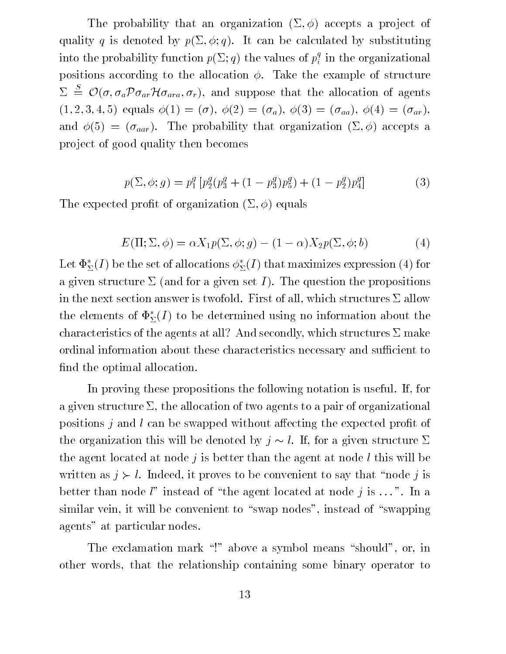The probability that an organization  $(\Sigma, \phi)$  accepts a project of quality q is denoted by  $p(\Sigma, \phi, q)$ . It can be calculated by substituting into the probability function  $p(\Sigma; q)$  the values of  $p_i^\star$  in the organizational positions according to the allocation  $\phi$ . Take the example of structure  $\Sigma \cong \mathcal{O}(\sigma, \sigma_a \mathcal{P} \sigma_{ar} \mathcal{H} \sigma_{ara}, \sigma_r)$ , and suppose that the allocation of agents  $(1, 2, 3, 4, 5)$  equals  $\phi(1) = (\sigma)$ ,  $\phi(2) = (\sigma_a)$ ,  $\phi(3) = (\sigma_{aa})$ ,  $\phi(4) = (\sigma_{ar})$ , and  $\phi(5) = (\sigma_{aar})$ . The probability that organization  $(\Sigma, \phi)$  accepts a project of good quality then becomes

$$
p(\Sigma, \phi; g) = p_1^g \left[ p_2^g (p_3^g + (1 - p_3^g) p_5^g) + (1 - p_2^g) p_4^g \right]
$$
 (3)

The expected profit of organization  $(\Sigma, \phi)$  equals

$$
E(\Pi; \Sigma, \phi) = \alpha X_1 p(\Sigma, \phi; g) - (1 - \alpha) X_2 p(\Sigma, \phi; b)
$$
\n(4)

Let  $\Phi_{\Sigma}^*(I)$  be the set of allocations  $\phi_{\Sigma}^*(I)$  that maximizes expression (4) for a given structure  $\Sigma$  (and for a given set I). The question the propositions in the next section answer is twofold. First of all, which structures  $\Sigma$  allow the elements of  $\Phi_{\Sigma}^*(I)$  to be determined using no information about the characteristics of the agents at all? And secondly, which structures  $\Sigma$  make ordinal information about these characteristics necessary and sufficient to find the optimal allocation.

In proving these propositions the following notation is useful. If, for a given structure  $\Sigma$ , the allocation of two agents to a pair of organizational positions  $j$  and l can be swapped without affecting the expected profit of the organization this will be denoted by  $j \sim l$ . If, for a given structure  $\Sigma$ the agent located at node  $j$  is better than the agent at node l this will be written as  $j > l$ . Indeed, it proves to be convenient to say that "node j is better than node  $l$ " instead of "the agent located at node j is ...". In a similar vein, it will be convenient to "swap nodes", instead of "swapping agents" at particular nodes.

The exclamation mark  $\cdot$ !" above a symbol means "should", or, in other words, that the relationship containing some binary operator to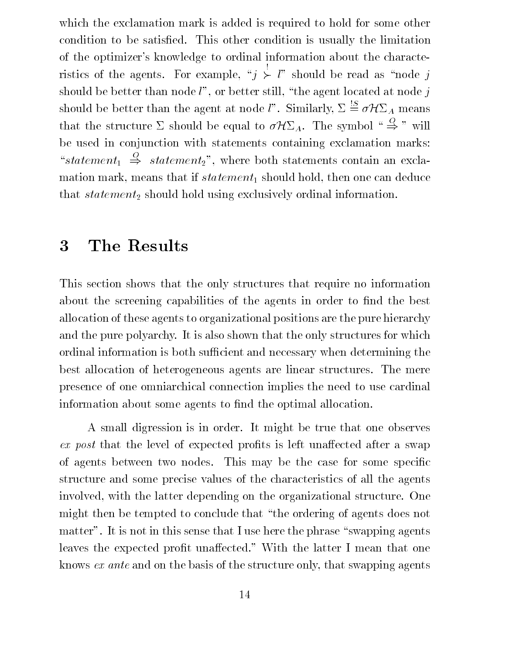which the exclamation mark is added is required to hold for some other condition to be satisfied. This other condition is usually the limitation of the optimizer's knowledge to ordinal information about the characteristics of the agents. For example, \j  $\succ l"$  should be read as "node j should be better than node  $l$ ", or better still, "the agent located at node j should be better than the agent at node *l*". Similarly,  $\Sigma \stackrel{!S}{=} \sigma \mathcal{H} \Sigma_A$  means that the structure  $\Sigma$  should be equal to  $\sigma \mathcal{H} \Sigma_A$ . The symbol " $\Rightarrow$ " will be used in conjunction with statements containing exclamation marks: "statement<sub>1</sub>  $\Rightarrow$  statement<sub>2</sub>", where both statements contain an exclamation mark, means that if  $statement_1$  should hold, then one can deduce that  $statement_2$  should hold using exclusively ordinal information.

#### $\overline{3}$ The Results

This section shows that the only structures that require no information about the screening capabilities of the agents in order to find the best allocation of these agents to organizational positions are the pure hierarchy and the pure polyarchy. It is also shown that the only structures for which ordinal information is both sufficient and necessary when determining the best allocation of heterogeneous agents are linear structures. The mere presence of one omniarchical connection implies the need to use cardinal information about some agents to find the optimal allocation.

A small digression is in order. It might be true that one observes ex post that the level of expected profits is left unaffected after a swap of agents between two nodes. This may be the case for some specific structure and some precise values of the characteristics of all the agents involved, with the latter depending on the organizational structure. One might then be tempted to conclude that "the ordering of agents does not matter". It is not in this sense that I use here the phrase "swapping agents" leaves the expected profit unaffected." With the latter I mean that one knows ex ante and on the basis of the structure only, that swapping agents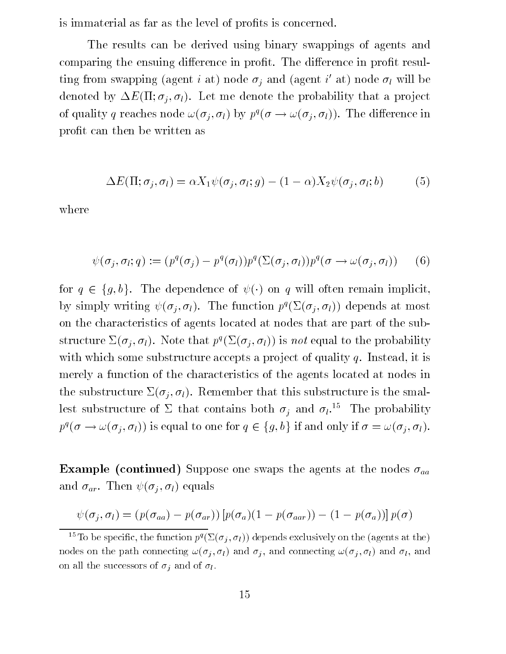is immaterial as far as the level of profits is concerned.

The results can be derived using binary swappings of agents and comparing the ensuing difference in profit. The difference in profit resulting from swapping (agent  $i$  at) node  $\sigma_i$  and (agent  $i$  at) node  $\sigma_l$  will be denoted by  $\Delta E(\Pi; \sigma_i, \sigma_l)$ . Let me denote the probability that a project of quality q reaches node  $\omega(\sigma_j, \sigma_l)$  by  $p^i(\sigma \to \omega(\sigma_j, \sigma_l))$ . The difference in profit can then be written as

$$
\Delta E(\Pi; \sigma_j, \sigma_l) = \alpha X_1 \psi(\sigma_j, \sigma_l; g) - (1 - \alpha) X_2 \psi(\sigma_j, \sigma_l; b) \tag{5}
$$

where

$$
\psi(\sigma_j, \sigma_l; q) := (p^q(\sigma_j) - p^q(\sigma_l))p^q(\Sigma(\sigma_j, \sigma_l))p^q(\sigma \to \omega(\sigma_j, \sigma_l)) \qquad (6)
$$

for  $q \in \{g, b\}$ . The dependence of  $\psi(\cdot)$  on q will often remain implicit, by simply writing  $\psi(\sigma_j, \sigma_l)$ . The function  $p^q(\Sigma(\sigma_j, \sigma_l))$  depends at most on the characteristics of agents located at nodes that are part of the substructure  $\mathcal{Z}(o_j, o_l)$ . Note that  $p_j(\mathcal{Z}(o_j, o_l))$  is not equal to the probability with which some substructure accepts a project of quality  $q$ . Instead, it is merely a function of the characteristics of the agents located at nodes in the substructure  $\Sigma(\sigma_j, \sigma_l)$ . Remember that this substructure is the smallest substructure of  $\Sigma$  that contains both  $\sigma_j$  and  $\sigma_l$ .<sup>15</sup> The probability  $p^{q}(\sigma \to \omega(\sigma_j, \sigma_l))$  is equal to one for  $q \in \{g, b\}$  if and only if  $\sigma = \omega(\sigma_j, \sigma_l)$ .

**Example (continued)** Suppose one swaps the agents at the nodes  $\sigma_{aa}$ and  $\sigma_{ar}$ . Then  $\psi(\sigma_i, \sigma_l)$  equals

$$
\psi(\sigma_j, \sigma_l) = (p(\sigma_{aa}) - p(\sigma_{ar})) [p(\sigma_a)(1 - p(\sigma_{aar})) - (1 - p(\sigma_a))] p(\sigma)
$$

 $\tilde{\ }$  10 be specific, the function  $p$  (  $\omega(\sigma_i,\sigma_l)$  ) depends exclusively on the (agents at the) nodes on the path connecting  $\omega(\sigma_j, \sigma_l)$  and  $\sigma_j$ , and connecting  $\omega(\sigma_j, \sigma_l)$  and  $\sigma_l$ , and on all the successors of  $\sigma_i$  and of  $\sigma_i$ .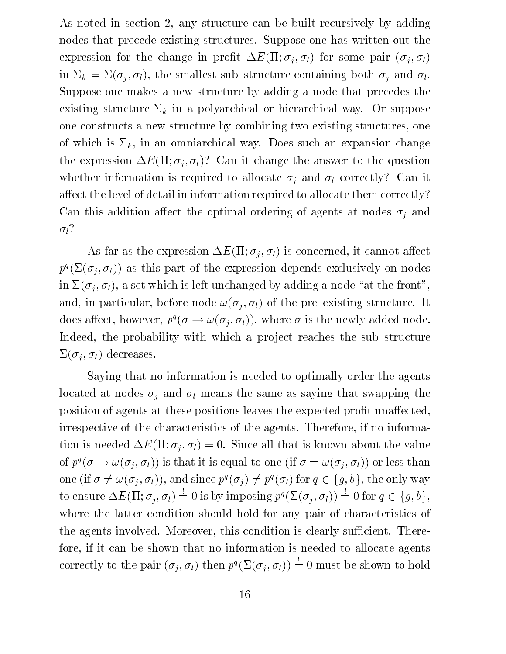As noted in section 2, any structure can be built recursively by adding nodes that precede existing structures. Suppose one has written out the expression for the change in profit  $\Delta E(\Pi; \sigma_i, \sigma_l)$  for some pair  $(\sigma_i, \sigma_l)$ in  $\Sigma_k = \Sigma(\sigma_j, \sigma_l)$ , the smallest sub-structure containing both  $\sigma_j$  and  $\sigma_l$ . Suppose one makes a new structure by adding a node that precedes the existing structure  $\Sigma_k$  in a polyarchical or hierarchical way. Or suppose one constructs a new structure by combining two existing structures, one of which is  $\Sigma_k$ , in an omniarchical way. Does such an expansion change the expression  $\Delta E(\Pi; \sigma_i, \sigma_l)$ ? Can it change the answer to the question whether information is required to allocate  $\sigma_i$  and  $\sigma_l$  correctly? Can it affect the level of detail in information required to allocate them correctly? Can this addition affect the optimal ordering of agents at nodes  $\sigma_i$  and  $\sigma_l$ ?

As far as the expression  $\Delta E(\Pi; \sigma_j, \sigma_l)$  is concerned, it cannot affect  $p_{\perp}(\varphi_i, \varphi_i)$  as this part of the expression depends exclusively on nodes in  $\Sigma(\sigma_j, \sigma_l)$ , a set which is left unchanged by adding a node "at the front", and, in particular, before node  $\omega(\sigma_i, \sigma_l)$  of the pre-existing structure. It does affect, however,  $p^i(\sigma \to \omega(\sigma_i, \sigma_l))$ , where  $\sigma$  is the newly added node. Indeed, the probability with which a project reaches the sub-structure  $\Sigma(\sigma_i, \sigma_l)$  decreases.

Saying that no information is needed to optimally order the agents located at nodes  $\sigma_i$  and  $\sigma_l$  means the same as saying that swapping the position of agents at these positions leaves the expected profit unaffected, irrespective of the characteristics of the agents. Therefore, if no information is needed  $\Delta E(\Pi; \sigma_i, \sigma_l) = 0$ . Since all that is known about the value of  $p^i(\sigma \to \omega(\sigma_i, \sigma_l))$  is that it is equal to one (if  $\sigma = \omega(\sigma_i, \sigma_l)$ ) or less than one (if  $\sigma \neq \omega(\sigma_j, \sigma_l)$ ), and since  $p^q(\sigma_j) \neq p^q(\sigma_l)$  for  $q \in \{g, b\}$ , the only way to ensure  $\Delta E(\Pi; \sigma_j, \sigma_l) = 0$  is by imposing  $p^q(\Sigma(\sigma_j, \sigma_l)) = 0$  for  $q \in \{g, b\},\$ where the latter condition should hold for any pair of characteristics of the agents involved. Moreover, this condition is clearly sufficient. Therefore, if it can be shown that no information is needed to allocate agents correctly to the pair  $(\sigma_i, \sigma_l)$  then  $p^q(\Sigma(\sigma_i, \sigma_l)) = 0$  must be shown to hold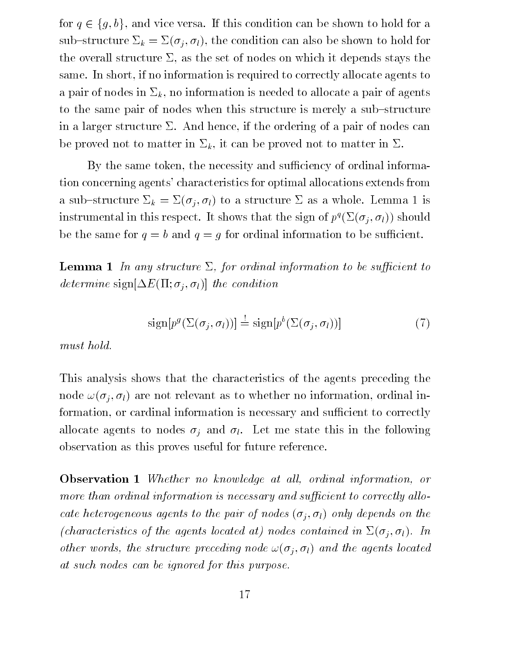for  $q \in \{g, b\}$ , and vice versa. If this condition can be shown to hold for a sub-structure  $\Sigma_k = \Sigma(\sigma_j, \sigma_l)$ , the condition can also be shown to hold for the overall structure  $\Sigma$ , as the set of nodes on which it depends stays the same. In short, if no information is required to correctly allocate agents to a pair of nodes in  $\Sigma_k$ , no information is needed to allocate a pair of agents to the same pair of nodes when this structure is merely a sub-structure in a larger structure  $\Sigma$ . And hence, if the ordering of a pair of nodes can be proved not to matter in  $\Sigma_k$ , it can be proved not to matter in  $\Sigma$ .

By the same token, the necessity and sufficiency of ordinal information concerning agents' characteristics for optimal allocations extends from a sub-structure  $\Sigma_k = \Sigma(\sigma_j, \sigma_l)$  to a structure  $\Sigma$  as a whole. Lemma 1 is instrumental in this respect. It shows that the sign of  $p^q(\Sigma(\sigma_j, \sigma_l))$  should be the same for  $q = b$  and  $q = g$  for ordinal information to be sufficient.

**Lemma 1** In any structure  $\Sigma$ , for ordinal information to be sufficient to determine sign $[\Delta E(\Pi; \sigma_i, \sigma_l)]$  the condition

$$
\text{sign}[p^g(\Sigma(\sigma_j, \sigma_l))] \stackrel{!}{=} \text{sign}[p^b(\Sigma(\sigma_j, \sigma_l))]
$$
\n(7)

must hold.

This analysis shows that the characteristics of the agents preceding the node  $\omega(\sigma_i, \sigma_l)$  are not relevant as to whether no information, ordinal information, or cardinal information is necessary and sufficient to correctly allocate agents to nodes  $\sigma_j$  and  $\sigma_l$ . Let me state this in the following observation as this proves useful for future reference.

**Observation 1** Whether no knowledge at all, ordinal information, or more than ordinal information is necessary and sufficient to correctly allocate heterogeneous agents to the pair of nodes  $(\sigma_i, \sigma_l)$  only depends on the (characteristics of the agents located at) nodes contained in  $\Sigma(\sigma_i, \sigma_l)$ . In other words, the structure preceding node  $\omega(\sigma_i, \sigma_l)$  and the agents located at such nodes can be ignored for this purpose.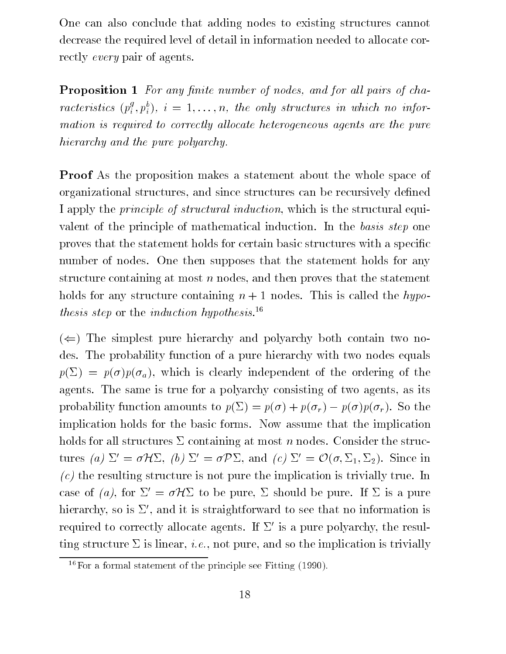One can also conclude that adding nodes to existing structures cannot decrease the required level of detail in information needed to allocate correctly every pair of agents.

**Proposition 1** For any finite number of nodes, and for all pairs of characteristics  $(p_i^*, p_i^*), i = 1, \ldots, n$ , the only structures in which no information is required to correctly allocate heterogeneous agents are the pure hierarchy and the pure polyarchy.

Proof As the proposition makes a statement about the whole space of organizational structures, and since structures can be recursively defined I apply the principle of structural induction, which is the structural equivalent of the principle of mathematical induction. In the basis step one proves that the statement holds for certain basic structures with a specific number of nodes. One then supposes that the statement holds for any structure containing at most  $n$  nodes, and then proves that the statement holds for any structure containing  $n + 1$  nodes. This is called the hypothesis step or the *induction hypothesis*.<sup>16</sup>

 $(\Leftarrow)$  The simplest pure hierarchy and polyarchy both contain two nodes. The probability function of a pure hierarchy with two nodes equals  $p(\Sigma) = p(\sigma)p(\sigma_a)$ , which is clearly independent of the ordering of the agents. The same is true for a polyarchy consisting of two agents, as its probability function amounts to  $p(\Sigma) = p(\sigma) + p(\sigma_r) - p(\sigma)p(\sigma_r)$ . So the implication holds for the basic forms. Now assume that the implication holds for all structures  $\Sigma$  containing at most n nodes. Consider the structures (a)  $\Sigma' = \sigma \mathcal{H} \Sigma$ , (b)  $\Sigma' = \sigma \mathcal{P} \Sigma$ , and (c)  $\Sigma' = \mathcal{O}(\sigma, \Sigma_1, \Sigma_2)$ . Since in  $(c)$  the resulting structure is not pure the implication is trivially true. In case of (a), for  $\Sigma' = \sigma \mathcal{H} \Sigma$  to be pure,  $\Sigma$  should be pure. If  $\Sigma$  is a pure hierarchy, so is  $\Sigma'$ , and it is straightforward to see that no information is required to correctly allocate agents. If  $\Sigma'$  is a pure polyarchy, the resulting structure  $\Sigma$  is linear, *i.e.*, not pure, and so the implication is trivially

<sup>&</sup>lt;sup>16</sup>For a formal statement of the principle see Fitting  $(1990)$ .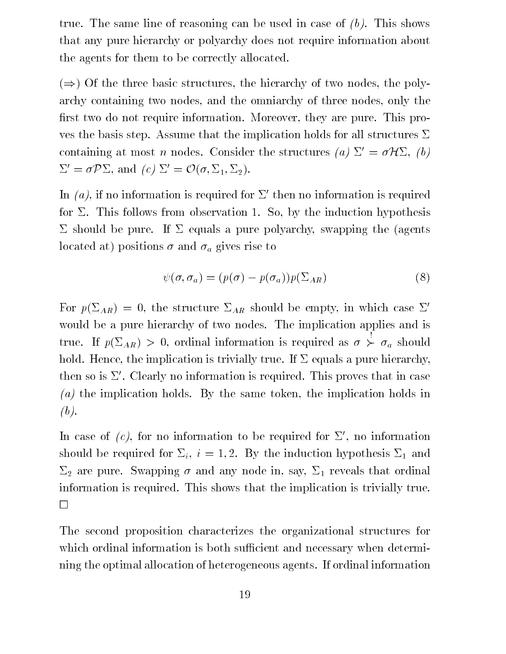true. The same line of reasoning can be used in case of  $(b)$ . This shows that any pure hierarchy or polyarchy does not require information about the agents for them to be correctly allocated.

 $(\Rightarrow)$  Of the three basic structures, the hierarchy of two nodes, the polyarchy containing two nodes, and the omniarchy of three nodes, only the first two do not require information. Moreover, they are pure. This proves the basis step. Assume that the implication holds for all structures  $\Sigma$ containing at most n nodes. Consider the structures (a)  $\Sigma' = \sigma \mathcal{H} \Sigma$ , (b)  $\Sigma' = \sigma \mathcal{P} \Sigma$ , and  $(c) \Sigma' = \mathcal{O}(\sigma, \Sigma_1, \Sigma_2)$ .

In (a), if no information is required for  $\Sigma'$  then no information is required for  $\Sigma$ . This follows from observation 1. So, by the induction hypothesis  $\Sigma$  should be pure. If  $\Sigma$  equals a pure polyarchy, swapping the (agents located at) positions  $\sigma$  and  $\sigma_a$  gives rise to

$$
\psi(\sigma, \sigma_a) = (p(\sigma) - p(\sigma_a))p(\Sigma_{AR})
$$
\n(8)

For  $p(\Sigma_{AR}) = 0$ , the structure  $\Sigma_{AR}$  should be empty, in which case  $\Sigma'$ would be a pure hierarchy of two nodes. The implication applies and is true. If  $\Gamma$  are  $\Gamma$  and  $\Gamma$  , ordinal information is required as required as required as  $\Gamma$  . If  $\Gamma$  $\succ \sigma_a$  should hold. Hence, the implication is trivially true. If  $\Sigma$  equals a pure hierarchy, then so is  $\Sigma'$ . Clearly no information is required. This proves that in case  $(a)$  the implication holds. By the same token, the implication holds in (b).

In case of  $(c)$ , for no information to be required for  $\Sigma'$ , no information should be required for  $\Sigma_i$ ,  $i = 1, 2$ . By the induction hypothesis  $\Sigma_1$  and  $\Sigma_2$  are pure. Swapping  $\sigma$  and any node in, say,  $\Sigma_1$  reveals that ordinal information is required. This shows that the implication is trivially true.  $\Box$ 

The second proposition characterizes the organizational structures for which ordinal information is both sufficient and necessary when determining the optimal allocation of heterogeneous agents. If ordinal information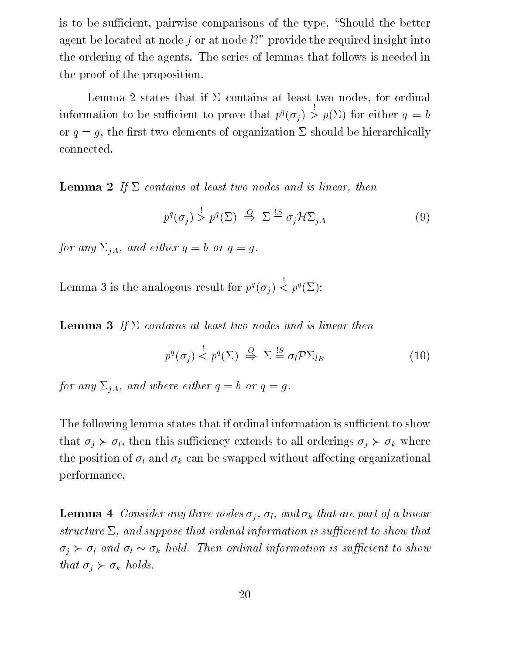is to be sufficient, pairwise comparisons of the type, "Should the better agent be located at node j or at node  $l$ ?" provide the required insight into the ordering of the agents. The series of lemmas that follows is needed in the proof of the proposition.

Lemma 2 states that if  $\Sigma$  contains at least two nodes, for ordinal information to be sufficient to prove that  $p^q(\sigma_i) > 1$  $\mathbf{r}$  for either quantum either quantum either quantum either quantum either  $\mathbf{r}$ or  $q = q$ , the first two elements of organization  $\Sigma$  should be hierarchically connected.

**Lemma 2** If  $\Sigma$  contains at least two nodes and is linear, then

$$
p^{q}(\sigma_{j}) \stackrel{j}{>} p^{q}(\Sigma) \stackrel{Q}{\Rightarrow} \Sigma \stackrel{!S}{=} \sigma_{j} \mathcal{H} \Sigma_{jA}
$$
 (9)

for any  $\Sigma_{jA}$ , and either  $q = b$  or  $q = g$ .

Lemma 5 is the analogous result for  $p'(o_i) <$  $\langle p^q(\Sigma) \rangle$ :

**Lemma 3** If  $\Sigma$  contains at least two nodes and is linear then

$$
p^{q}(\sigma_{j}) \stackrel{!}{\leq} p^{q}(\Sigma) \stackrel{Q}{\Rightarrow} \Sigma \stackrel{!S}{=} \sigma_{l} \mathcal{P} \Sigma_{lR} \tag{10}
$$

for any  $\Sigma_{iA}$ , and where either  $q = b$  or  $q = g$ .

The following lemma states that if ordinal information is sufficient to show that  $\sigma_j \succ \sigma_l$ , then this sufficiency extends to all orderings  $\sigma_j \succ \sigma_k$  where the position of  $\sigma_l$  and  $\sigma_k$  can be swapped without affecting organizational performance.

**Lemma 4** Consider any three nodes  $\sigma_i$ ,  $\sigma_l$ , and  $\sigma_k$  that are part of a linear structure  $\Sigma$ , and suppose that ordinal information is sufficient to show that  $\sigma_j \succ \sigma_l$  and  $\sigma_l \sim \sigma_k$  hold. Then ordinal information is sufficient to show that  $\sigma_i \succ \sigma_k$  holds.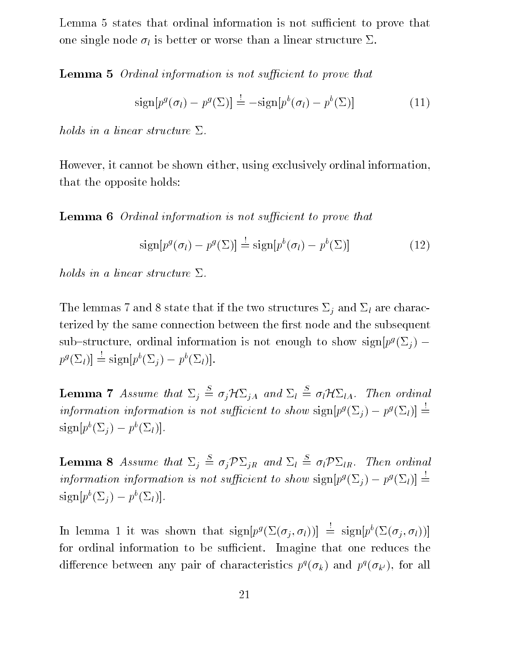Lemma 5 states that ordinal information is not sufficient to prove that one single node  $\sigma_l$  is better or worse than a linear structure  $\Sigma$ .

**Lemma 5** Ordinal information is not sufficient to prove that

$$
\text{sign}[p^g(\sigma_l) - p^g(\Sigma)] \stackrel{!}{=} -\text{sign}[p^b(\sigma_l) - p^b(\Sigma)] \tag{11}
$$

holds in a linear structure  $\Sigma$ .

However, it cannot be shown either, using exclusively ordinal information, that the opposite holds:

**Lemma 6** Ordinal information is not sufficient to prove that

$$
\text{sign}[p^g(\sigma_l) - p^g(\Sigma)] \stackrel{!}{=} \text{sign}[p^b(\sigma_l) - p^b(\Sigma)] \tag{12}
$$

holds in a linear structure  $\Sigma$ .

The lemmas 7 and 8 state that if the two structures  $\Sigma_j$  and  $\Sigma_l$  are characterized by the same connection between the first node and the subsequent sub-structure, ordinal information is not enough to show sign $[p<sup>g</sup>(\Sigma_i)$  –  $p^{\mathcal{G}}(\Sigma_l)| = \text{sign}[p^{\mathcal{G}}(\Sigma_i) - p^{\mathcal{G}}(\Sigma_l)].$ 

**Lemma 7** Assume that  $\Sigma_i \stackrel{\cong}{=} \sigma_i \mathcal{H} \Sigma_{iA}$  and  $\Sigma_l \stackrel{\cong}{=} \sigma_l \mathcal{H} \Sigma_{lA}$ . Then ordinal information information is not sufficient to show  $\text{sign}[p^g(\Sigma_i) - p^g(\Sigma_l)] =$  $sign[p^b(\Sigma_j) - p^b(\Sigma_l)].$ 

**Lemma 8** Assume that  $\Sigma_i \stackrel{\cong}{=} \sigma_i \mathcal{P} \Sigma_{iR}$  and  $\Sigma_l \stackrel{\cong}{=} \sigma_l \mathcal{P} \Sigma_{lR}$ . Then ordinal information information is not sufficient to show  $\text{sign}[p^g(\Sigma_i) - p^g(\Sigma_l)] =$  $\text{sign}[p \ (2i) = p \ (2i)].$ 

In lemma 1 it was shown that  $\text{sign}[p^g(\Sigma(\sigma_i, \sigma_l))] = \text{sign}[p^e(\Sigma(\sigma_i, \sigma_l))]$ for ordinal information to be sufficient. Imagine that one reduces the difference between any pair of characteristics  $p_1(o_k)$  and  $p_1(o_{k'}),$  for all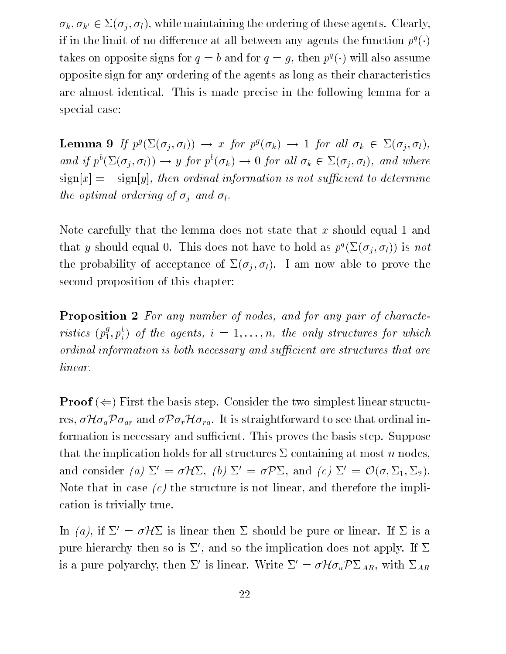$\sigma_k, \sigma_{k'} \in \Sigma(\sigma_j, \sigma_l)$ , while maintaining the ordering of these agents. Clearly, if in the limit of no difference at all between any agents the function  $p_+(\cdot)$ takes on opposite signs for  $q = 0$  and for  $q = q$ , then  $p(\cdot)$  will also assume opposite sign for any ordering of the agents as long as their characteristics are almost identical. This is made precise in the following lemma for a special case:

**Lemma 9** If  $p^g(\Sigma(\sigma_j, \sigma_l)) \rightarrow x$  for  $p^g(\sigma_k) \rightarrow 1$  for all  $\sigma_k \in \Sigma(\sigma_j, \sigma_l)$ , and if  $p^{\sigma}(\Sigma(\sigma_i, \sigma_l)) \to y$  for  $p^{\sigma}(\sigma_k) \to 0$  for all  $\sigma_k \in \Sigma(\sigma_i, \sigma_l)$ , and where  $\text{sign}[x] = -\text{sign}[y]$ , then ordinal information is not sufficient to determine the optimal ordering of  $\sigma_i$  and  $\sigma_l$ .

Note carefully that the lemma does not state that x should equal 1 and that y should equal 0. This does not have to hold as  $p^q(\Sigma(\sigma_j, \sigma_l))$  is not the probability of acceptance of  $\Sigma(\sigma_j, \sigma_l)$ . I am now able to prove the second proposition of this chapter:

Proposition 2 For any number of nodes, and for any pair of characteristics  $(p_1^s, p_i^s)$  of the agents,  $i = 1, \ldots, n$ , the only structures for which ordinal information is both necessary and sufficient are structures that are linear.

**Proof**  $(\Leftarrow)$  First the basis step. Consider the two simplest linear structures,  $\sigma \mathcal{H} \sigma_a \mathcal{P} \sigma_{ar}$  and  $\sigma \mathcal{P} \sigma_r \mathcal{H} \sigma_{ra}$ . It is straightforward to see that ordinal information is necessary and sufficient. This proves the basis step. Suppose that the implication holds for all structures  $\Sigma$  containing at most n nodes, and consider (a)  $\Sigma' = \sigma \mathcal{H} \Sigma$ , (b)  $\Sigma' = \sigma \mathcal{P} \Sigma$ , and (c)  $\Sigma' = \mathcal{O}(\sigma, \Sigma_1, \Sigma_2)$ . Note that in case  $(c)$  the structure is not linear, and therefore the implication is trivially true.

In (a), if  $\Sigma' = \sigma \mathcal{H} \Sigma$  is linear then  $\Sigma$  should be pure or linear. If  $\Sigma$  is a pure hierarchy then so is  $\Sigma'$ , and so the implication does not apply. If  $\Sigma$ is a pure polyarchy, then  $\Sigma'$  is linear. Write  $\Sigma' = \sigma \mathcal{H} \sigma_a \mathcal{P} \Sigma_{AR}$ , with  $\Sigma_{AR}$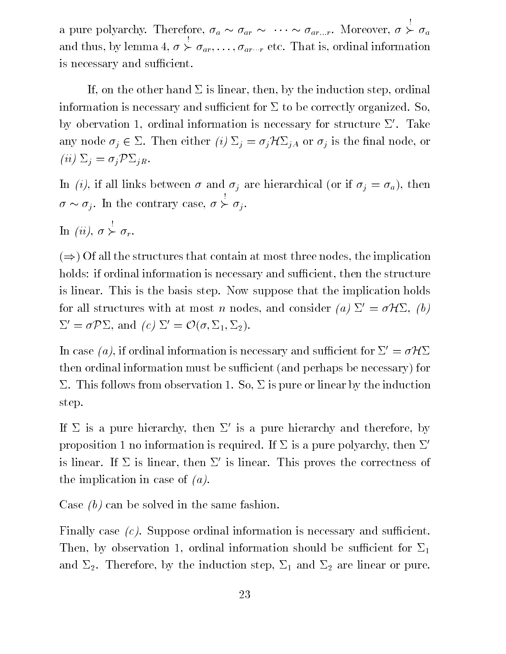a pure polyarchy. Therefore,  $\sigma_a \sim \sigma_{ar} \sim \cdots \sim \sigma_{ar...r}$ . Moreover,  $\sigma \succ \sigma_a$ and the thus, by lemma  $\sim$  ,  $\sim$  ,  $\sim$  ,  $\sim$  $\succ \sigma_{ar}, \ldots, \sigma_{ar\cdots r}$  etc. That is, ordinal information is necessary and sufficient.

If, on the other hand  $\Sigma$  is linear, then, by the induction step, ordinal information is necessary and sufficient for  $\Sigma$  to be correctly organized. So, by obervation 1, ordinal information is necessary for structure  $\Sigma'$ . Take any node  $\sigma_j \in \Sigma$ . Then either (i)  $\Sigma_j = \sigma_j \mathcal{H} \Sigma_{jA}$  or  $\sigma_j$  is the final node, or (*ii*)  $\Sigma_i = \sigma_j \mathcal{P} \Sigma_{jR}$ .

In (i), if all links between  $\sigma$  and  $\sigma_j$  are hierarchical (or if  $\sigma_j = \sigma_a$ ), then  $\sigma \sim \sigma_i$ . In the contrary case,  $\sigma \succ \sigma_i$ .

In (ii),  $\succ \sigma_r$ .

 $(\Rightarrow)$  Of all the structures that contain at most three nodes, the implication holds: if ordinal information is necessary and sufficient, then the structure is linear. This is the basis step. Now suppose that the implication holds for all structures with at most n nodes, and consider (a)  $\Sigma' = \sigma \mathcal{H} \Sigma$ , (b)  $\Sigma' = \sigma \mathcal{P} \Sigma$ , and  $(c) \Sigma' = \mathcal{O}(\sigma, \Sigma_1, \Sigma_2)$ .

In case (a), if ordinal information is necessary and sufficient for  $\Sigma' = \sigma \mathcal{H} \Sigma$ then ordinal information must be sufficient (and perhaps be necessary) for  $\Sigma$ . This follows from observation 1. So,  $\Sigma$  is pure or linear by the induction step.

If  $\Sigma$  is a pure hierarchy, then  $\Sigma'$  is a pure hierarchy and therefore, by proposition 1 no information is required. If  $\Sigma$  is a pure polyarchy, then  $\Sigma'$ is linear. If  $\Sigma$  is linear, then  $\Sigma'$  is linear. This proves the correctness of the implication in case of  $(a)$ .

Case (b) can be solved in the same fashion.

Finally case  $(c)$ . Suppose ordinal information is necessary and sufficient. Then, by observation 1, ordinal information should be sufficient for  $\Sigma_1$ and  $\Sigma_2$ . Therefore, by the induction step,  $\Sigma_1$  and  $\Sigma_2$  are linear or pure.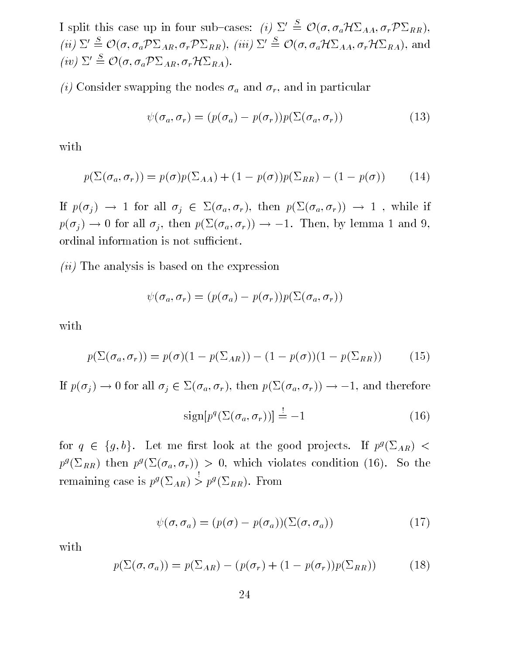I split this case up in four sub-cases: (i)  $\Sigma' \triangleq \mathcal{O}(\sigma, \sigma_a \mathcal{H} \Sigma_{AA}, \sigma_r \mathcal{P} \Sigma_{RR}),$ (ii)  $\Sigma' \triangleq \mathcal{O}(\sigma, \sigma_a \mathcal{P} \Sigma_{AR}, \sigma_r \mathcal{P} \Sigma_{RR}),$  (iii)  $\Sigma' \triangleq \mathcal{O}(\sigma, \sigma_a \mathcal{H} \Sigma_{AA}, \sigma_r \mathcal{H} \Sigma_{RA}),$  and (iv)  $\Sigma' \stackrel{S}{=} \mathcal{O}(\sigma, \sigma_a \mathcal{P} \Sigma_{AR}, \sigma_r \mathcal{H} \Sigma_{RA}).$ 

(i) Consider swapping the nodes  $\sigma_a$  and  $\sigma_r$ , and in particular

$$
\psi(\sigma_a, \sigma_r) = (p(\sigma_a) - p(\sigma_r))p(\Sigma(\sigma_a, \sigma_r))
$$
\n(13)

with

$$
p(\Sigma(\sigma_a, \sigma_r)) = p(\sigma)p(\Sigma_{AA}) + (1 - p(\sigma))p(\Sigma_{RR}) - (1 - p(\sigma)) \tag{14}
$$

If  $p(\sigma_j) \to 1$  for all  $\sigma_j \in \Sigma(\sigma_a, \sigma_r)$ , then  $p(\Sigma(\sigma_a, \sigma_r)) \to 1$ , while if  $p(\sigma_j) \to 0$  for all  $\sigma_j$ , then  $p(\Sigma(\sigma_a, \sigma_r)) \to -1$ . Then, by lemma 1 and 9, ordinal information is not sufficient.

 $(ii)$  The analysis is based on the expression

$$
\psi(\sigma_a, \sigma_r) = (p(\sigma_a) - p(\sigma_r))p(\Sigma(\sigma_a, \sigma_r))
$$

with

$$
p(\Sigma(\sigma_a, \sigma_r)) = p(\sigma)(1 - p(\Sigma_{AR})) - (1 - p(\sigma))(1 - p(\Sigma_{RR})) \tag{15}
$$

If  $p(\sigma_i) \to 0$  for all  $\sigma_i \in \Sigma(\sigma_a, \sigma_r)$ , then  $p(\Sigma(\sigma_a, \sigma_r)) \to -1$ , and therefore

$$
\text{sign}[p^q(\Sigma(\sigma_a, \sigma_r))] \stackrel{!}{=} -1 \tag{16}
$$

for  $q \in \{g, b\}$ . Let me first look at the good projects. If  $p^g(\Sigma_{AR})$  <  $p^s(\Sigma_{RR})$  then  $p^s(\Sigma(\sigma_a, \sigma_r)) > 0$ , which violates condition (10). So the remaining case is  $p^s(\triangle_{AR}) > 0$  $> p^g(\Sigma_{RR})$ . From

$$
\psi(\sigma, \sigma_a) = (p(\sigma) - p(\sigma_a))(\Sigma(\sigma, \sigma_a))
$$
\n(17)

with

$$
p(\Sigma(\sigma, \sigma_a)) = p(\Sigma_{AR}) - (p(\sigma_r) + (1 - p(\sigma_r))p(\Sigma_{RR})) \tag{18}
$$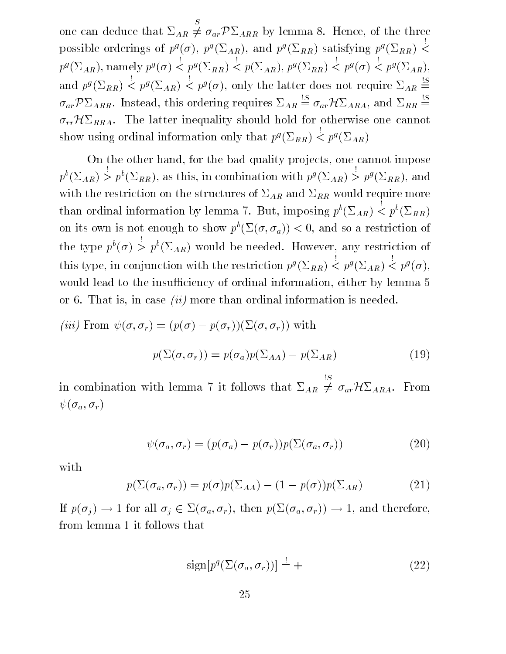$\sim$  - can deduce the can deduce that  $\sim$  $\neq \sigma_{ar} \mathcal{P} \Sigma_{ARR}$  by lemma 8. Hence, of the three possible orderings of  $p^g(\sigma)$ ,  $p^g(\Sigma_{AR})$ , and  $p^g(\Sigma_{RR})$  satisfying  $p^g(\Sigma_{RR})$  < <  $p^g(\Sigma_{AR})$ , namely  $p^g(\sigma) < p^g(\Sigma_{RR}) < p(\Sigma_{AR})$ ,  $p^g(\Sigma_{RR}) < p^g(\sigma) < p^g(\Sigma_{AR})$ , and  $p^g(\Sigma_{RR}) < p^g(\Sigma_{AR}) < p^g(\sigma)$ , only the latter does not require  $\Sigma_{AR} \stackrel{\sim}{=}$  $\sigma_{ar} \mathcal{P} \Sigma_{ARR.}$  Instead, this ordering requires  $\Sigma_{AR} \stackrel{\cong}{=} \sigma_{ar} \mathcal{H} \Sigma_{ARA}$ , and  $\Sigma_{RR} \stackrel{\cong}{=}$  $\sigma_{rr}H\Sigma_{RRA}$ . The latter inequality should hold for otherwise one cannot show using ordinal information only that  $p^g(\Sigma_{RR}) < p^g(\Sigma_{AR})$ 

On the other hand, for the bad quality projects, one cannot impose  $p^b(\Sigma_{AR}) > p^b(\Sigma_{RR})$ , as this, in combination with  $p^g(\Sigma_{AR}) >$  $> p^g(\Sigma_{RR}),$  and with the restriction on the structures of  $\Sigma_{AR}$  and  $\Sigma_{RR}$  would require more than ordinal information by lemma 7. But, imposing  $p^b(\Sigma_{AR}) < p^b(\Sigma_{RR})$ on its own is not enough to show  $p^*(\Sigma(o, o_a)) < 0$ , and so a restriction of the type  $p^{b}(\sigma) > p^{b}(\Sigma_{AR})$  would be needed. However, any restriction of this type, in conjunction with the restriction  $p^s(Z_{RR}) <$  $\langle p^g(\Sigma_{AR}) \rangle < p^g(\sigma),$ would lead to the insufficiency of ordinal information, either by lemma 5 or 6. That is, in case *(ii)* more than ordinal information is needed.

(*iii*) From 
$$
\psi(\sigma, \sigma_r) = (p(\sigma) - p(\sigma_r))(\Sigma(\sigma, \sigma_r))
$$
 with  

$$
p(\Sigma(\sigma, \sigma_r)) = p(\sigma_a)p(\Sigma_{AA}) - p(\Sigma_{AR})
$$
(19)

in compilement for the compiler  $\alpha$  is follows that  $\alpha$  is  $\alpha$  $\neq \sigma_{ar} \mathcal{H} \Sigma_{ARA}$ . From  $\psi(\sigma_a, \sigma_r )$ 

$$
\psi(\sigma_a, \sigma_r) = (p(\sigma_a) - p(\sigma_r))p(\Sigma(\sigma_a, \sigma_r))
$$
\n(20)

with

$$
p(\Sigma(\sigma_a, \sigma_r)) = p(\sigma)p(\Sigma_{AA}) - (1 - p(\sigma))p(\Sigma_{AR})
$$
\n(21)

If  $p(\sigma_j) \to 1$  for all  $\sigma_j \in \Sigma(\sigma_a, \sigma_r)$ , then  $p(\Sigma(\sigma_a, \sigma_r)) \to 1$ , and therefore, from lemma 1 it follows that

$$
\text{sign}[p^q(\Sigma(\sigma_a, \sigma_r))] = +
$$
\n(22)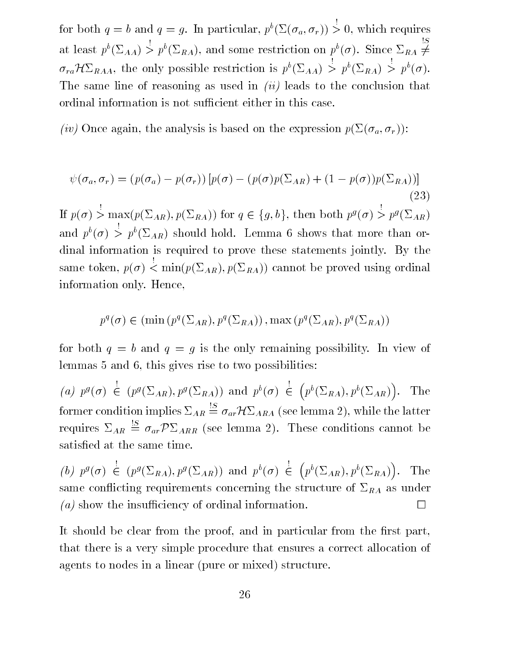for both  $q = b$  and  $q = g$ . In particular,  $p^b(\Sigma(\sigma_a, \sigma_r)) > 0$ , which requires at least  $p^b(\Sigma_{AA}) > p^b(\Sigma_{RA})$ , and some restriction on  $p^b(\sigma)$ . Since  $\Sigma_{RA} \neq$  $\sigma_{ra} H \Sigma_{RAA}$ , the only possible restriction is  $p^b(\Sigma_{AA}) > p^b(\Sigma_{RA}) > p^b(\sigma)$ . The same line of reasoning as used in  $(ii)$  leads to the conclusion that ordinal information is not sufficient either in this case.

(iv) Once again, the analysis is based on the expression  $p(\Sigma(\sigma_a, \sigma_r))$ :

$$
\psi(\sigma_a, \sigma_r) = (p(\sigma_a) - p(\sigma_r)) [p(\sigma) - (p(\sigma)p(\Sigma_{AR}) + (1 - p(\sigma))p(\Sigma_{RA}))]
$$
\n(23)

 $> max(p(\Sigma_{AR}), p(\Sigma_{RA}))$  for  $q \in \{g, b\}$ , then both  $p^g(\sigma) > p^g(\Sigma_{AR})$ and  $p^{b}(\sigma) > p^{b}(\Sigma_{AR})$  should hold. Lemma 6 shows that more than ordinal information is required to prove these statements jointly. By the same token, p() !  $\mathcal{C}$  and  $\mathcal{C}$  and  $\mathcal{C}$  is positive using ordinal using ordinal  $\mathcal{C}$  . The proved using ordinal  $\mathcal{C}$  is a set of  $\mathcal{C}$  . The proved using ordinal  $\mathcal{C}$  is a set of  $\mathcal{C}$  . The proved using  $\mathcal$ information only. Hence,

$$
p^{q}(\sigma) \in (\min(p^{q}(\Sigma_{AR}), p^{q}(\Sigma_{RA})), \max(p^{q}(\Sigma_{AR}), p^{q}(\Sigma_{RA}))
$$

for both  $q = b$  and  $q = g$  is the only remaining possibility. In view of lemmas 5 and 6, this gives rise to two possibilities:

(a)  $p^g(\sigma) \in (p^g(\Sigma_{AR}), p^g(\Sigma_{RA}))$  and  $p^b(\sigma) \in (p^b(\Sigma_{RA}), p^b(\Sigma_{AR}))$ . T . The former condition implies  $\Sigma_{AR} \stackrel{\cong}{=} \sigma_{ar} \mathcal{H} \Sigma_{ARA}$  (see lemma 2), while the latter requires  $\Sigma_{AR} \stackrel{\omega}{=} \sigma_{ar} \mathcal{P} \Sigma_{ARR}$  (see lemma 2). These conditions cannot be satised at the same time.

 $(0, p^3, 0) \in$  $\stackrel{\scriptscriptstyle\longleftarrow}{\in} (p^g(\Sigma_{RA}),p^g(\Sigma_{AR})) \ \text{ and } \ p^b(\sigma) \stackrel{\scriptscriptstyle\longleftarrow}{\in} (p^b(\Sigma_{AR}))$  $p^b(\Sigma_{AR}), p^b(\Sigma_{RA})$ ). T same conflicting requirements concerning the structure of  $\Sigma_{RA}$  as under (a) show the insufficiency of ordinal information.  $\Box$ 

It should be clear from the proof, and in particular from the first part, that there is a very simple procedure that ensures a correct allocation of agents to nodes in a linear (pure or mixed) structure.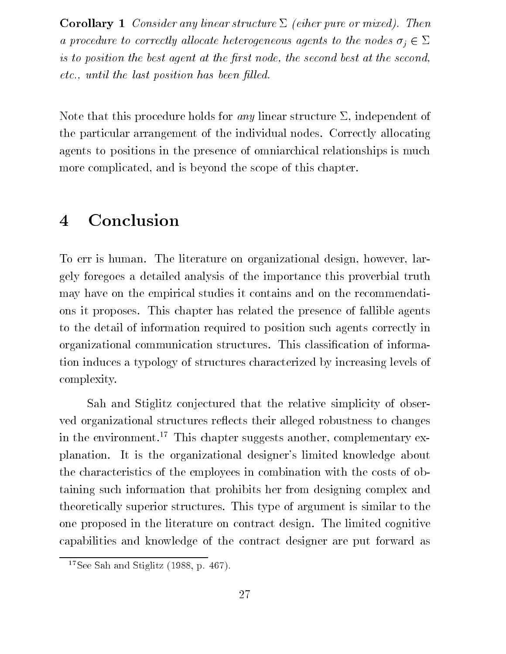**Corollary 1** Consider any linear structure  $\Sigma$  (eiher pure or mixed). Then a procedure to correctly allocate heterogeneous agents to the nodes  $\sigma_i \in \Sigma$ is to position the best agent at the first node, the second best at the second,  $etc.,$  until the last position has been filled.

Note that this procedure holds for *any* linear structure  $\Sigma$ , independent of the particular arrangement of the individual nodes. Correctly allocating agents to positions in the presence of omniarchical relationships is much more complicated, and is beyond the scope of this chapter.

#### **Conclusion**  $\overline{\mathbf{4}}$

To err is human. The literature on organizational design, however, largely foregoes a detailed analysis of the importance this proverbial truth may have on the empirical studies it contains and on the recommendations it proposes. This chapter has related the presence of fallible agents to the detail of information required to position such agents correctly in organizational communication structures. This classication of information induces a typology of structures characterized by increasing levels of complexity.

Sah and Stiglitz conjectured that the relative simplicity of observed organizational structures reflects their alleged robustness to changes in the environment.<sup>17</sup> This chapter suggests another, complementary explanation. It is the organizational designer's limited knowledge about the characteristics of the employees in combination with the costs of obtaining such information that prohibits her from designing complex and theoretically superior structures. This type of argument is similar to the one proposed in the literature on contract design. The limited cognitive capabilities and knowledge of the contract designer are put forward as

<sup>&</sup>lt;sup>17</sup>See Sah and Stiglitz  $(1988, p. 467)$ .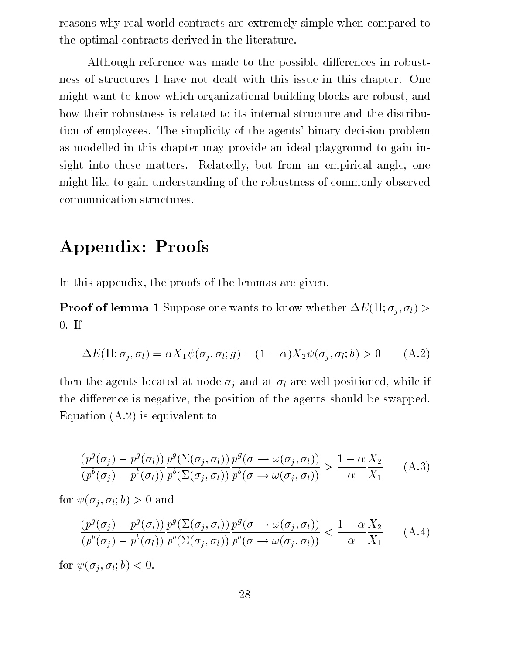reasons why real world contracts are extremely simple when compared to the optimal contracts derived in the literature.

Although reference was made to the possible differences in robustness of structures I have not dealt with this issue in this chapter. One might want to know which organizational building blocks are robust, and how their robustness is related to its internal structure and the distribution of employees. The simplicity of the agents' binary decision problem as modelled in this chapter may provide an ideal playground to gain insight into these matters. Relatedly, but from an empirical angle, one might like to gain understanding of the robustness of commonly observed communication structures.

# Appendix: Proofs

In this appendix, the proofs of the lemmas are given.

**Proof of lemma 1** Suppose one wants to know whether  $\Delta E(\Pi; \sigma_i, \sigma_l)$ 0. If

$$
\Delta E(\Pi; \sigma_j, \sigma_l) = \alpha X_1 \psi(\sigma_j, \sigma_l; g) - (1 - \alpha) X_2 \psi(\sigma_j, \sigma_l; b) > 0 \quad (A.2)
$$

then the agents located at node  $\sigma_j$  and at  $\sigma_l$  are well positioned, while if the difference is negative, the position of the agents should be swapped. Equation (A.2) is equivalent to

$$
\frac{(p^g(\sigma_j) - p^g(\sigma_l))}{(p^b(\sigma_j) - p^b(\sigma_l))} \frac{p^g(\Sigma(\sigma_j, \sigma_l))}{p^b(\Sigma(\sigma_j, \sigma_l))} \frac{p^g(\sigma \to \omega(\sigma_j, \sigma_l))}{p^b(\sigma \to \omega(\sigma_j, \sigma_l))} > \frac{1 - \alpha X_2}{\alpha X_1}
$$
\n(A.3)

for  $\psi(\sigma_i, \sigma_l; b) > 0$  and

$$
\frac{(p^g(\sigma_j) - p^g(\sigma_l))}{(p^b(\sigma_j) - p^b(\sigma_l))} \frac{p^g(\Sigma(\sigma_j, \sigma_l))}{p^b(\Sigma(\sigma_j, \sigma_l))} \frac{p^g(\sigma \to \omega(\sigma_j, \sigma_l))}{p^b(\sigma \to \omega(\sigma_j, \sigma_l))} < \frac{1 - \alpha X_2}{\alpha X_1} \tag{A.4}
$$

for  $\psi(\sigma_i, \sigma_l; b) < 0$ .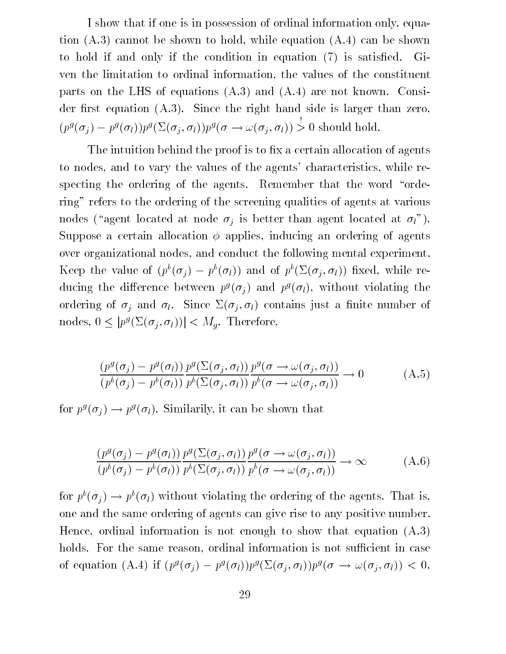I show that if one is in possession of ordinal information only, equation (A.3) cannot be shown to hold, while equation (A.4) can be shown to hold if and only if the condition in equation (7) is satisfied. Given the limitation to ordinal information, the values of the constituent parts on the LHS of equations (A.3) and (A.4) are not known. Consider first equation  $(A.3)$ . Since the right hand side is larger than zero,  $(p^g(\sigma_i) - p^g(\sigma_l))p^g(\Sigma(\sigma_i, \sigma_l))p^g(\sigma \to \omega(\sigma_i, \sigma_l)) > 0$  should hold.

The intuition behind the proof is to fix a certain allocation of agents to nodes, and to vary the values of the agents' characteristics, while respecting the ordering of the agents. Remember that the word "ordering" refers to the ordering of the screening qualities of agents at various nodes ("agent located at node  $\sigma_i$  is better than agent located at  $\sigma_i$ "). Suppose a certain allocation  $\phi$  applies, inducing an ordering of agents over organizational nodes, and conduct the following mental experiment. Keep the value of  $(p_i | o_j) = p_i(o_l)$  and of  $p_i(\Sigma(o_i, o_l))$  fixed, while reducing the difference between  $p^g(\sigma_j)$  and  $p^g(\sigma_l)$ , without violating the ordering of  $\sigma_i$  and  $\sigma_l$ . Since  $\Sigma(\sigma_i, \sigma_l)$  contains just a finite number of nodes,  $0 \leq |p^g(\Sigma(\sigma_j, \sigma_l))| < M_g$ . Therefore,

$$
\frac{(p^g(\sigma_j) - p^g(\sigma_l))}{(p^b(\sigma_j) - p^b(\sigma_l))} \frac{p^g(\Sigma(\sigma_j, \sigma_l))}{p^b(\Sigma(\sigma_j, \sigma_l))} \frac{p^g(\sigma \to \omega(\sigma_j, \sigma_l))}{p^b(\sigma \to \omega(\sigma_j, \sigma_l))} \to 0 \tag{A.5}
$$

for  $p^s(\sigma_i) \to p^s(\sigma_l)$ . Similarily, it can be shown that

$$
\frac{(p^g(\sigma_j) - p^g(\sigma_l))}{(p^b(\sigma_j) - p^b(\sigma_l))} \frac{p^g(\Sigma(\sigma_j, \sigma_l))}{p^b(\Sigma(\sigma_j, \sigma_l))} \frac{p^g(\sigma \to \omega(\sigma_j, \sigma_l))}{p^b(\sigma \to \omega(\sigma_j, \sigma_l))} \to \infty
$$
\n(A.6)

for  $p^b(\sigma_j) \to p^b(\sigma_l)$  without violating the ordering of the agents. That is, one and the same ordering of agents can give rise to any positive number. Hence, ordinal information is not enough to show that equation (A.3) holds. For the same reason, ordinal information is not sufficient in case of equation (A.4) if  $(p^s(\sigma_i) - p^s(\sigma_l))p^s(\Sigma(\sigma_i, \sigma_l))p^s(\sigma \to \omega(\sigma_i, \sigma_l)) < 0.$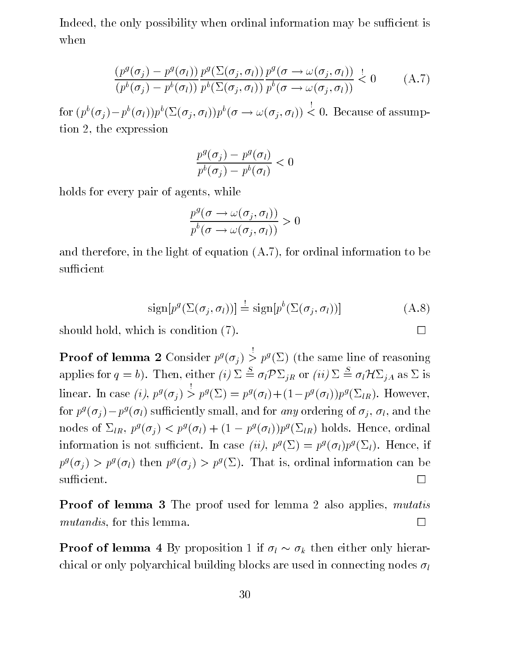Indeed, the only possibility when ordinal information may be sufficient is when

$$
\frac{(p^g(\sigma_j) - p^g(\sigma_l))}{(p^b(\sigma_j) - p^b(\sigma_l))} \frac{p^g(\Sigma(\sigma_j, \sigma_l))}{p^b(\Sigma(\sigma_j, \sigma_l))} \frac{p^g(\sigma \to \omega(\sigma_j, \sigma_l))}{p^b(\sigma \to \omega(\sigma_j, \sigma_l))} \overset{!}{\leq} 0 \tag{A.7}
$$

for  $(p^b(\sigma_i)-p^b(\sigma_l))p^b(\Sigma(\sigma_i, \sigma_l))p^b(\sigma \to \omega(\sigma_i, \sigma_l))$  < 0. Because of assumption 2, the expression

$$
\frac{p^g(\sigma_j)-p^g(\sigma_l)}{p^b(\sigma_j)-p^b(\sigma_l)}<0
$$

holds for every pair of agents, while

$$
\frac{p^g(\sigma \to \omega(\sigma_j, \sigma_l))}{p^b(\sigma \to \omega(\sigma_j, \sigma_l))} > 0
$$

and therefore, in the light of equation (A.7), for ordinal information to be sufficient

$$
\text{sign}[p^g(\Sigma(\sigma_j, \sigma_l))] \stackrel{!}{=} \text{sign}[p^b(\Sigma(\sigma_j, \sigma_l))]
$$
(A.8)

should hold, which is condition  $(7)$ .

**Proof of lemma 2** Consider  $p^g(\sigma_i) > p^g(\Sigma)$  (the same line of reasoning applies for  $q = b$ ). Then, either (i)  $\Sigma \stackrel{S}{=} \sigma_l \mathcal{P} \Sigma_{jR}$  or (ii)  $\Sigma \stackrel{S}{=} \sigma_l \mathcal{H} \Sigma_{jA}$  as  $\Sigma$  is  $\lim_{i \to \infty}$  in case  $\{i\}, p^{\circ}(\sigma_i) > 0$  $p^g(\Sigma) = p^g(\sigma_l) + (1-p^g(\sigma_l))p^g(\Sigma_{lR})$ . However, for  $p^s(\sigma_j) - p^s(\sigma_l)$  sufficiently small, and for *any* ordering of  $\sigma_j$ ,  $\sigma_l$ , and the hodes of  $\mathcal{Z}_{R}$ ,  $p^{j}(\mathcal{Y}_{i}) \leq p^{j}(\mathcal{Y}_{l}) + (1 - p^{j}(\mathcal{Y}_{l}))p^{j}(\mathcal{Z}_{lR})$  holds. Hence, ordinal information is not sufficient. In case  $\{u\}, p^s(\Sigma) = p^s(\sigma_l)p^s(\Sigma_l)$ . Hence, if  $p^j(\sigma_j) > p^j(\sigma_l)$  then  $p^j(\sigma_j) > p^j(\Sigma)$ . That is, ordinal information can be  $\Box$  sufficient.

**Proof of lemma 3** The proof used for lemma 2 also applies, *mutatis*  $mutand is, for this lemma.$ 

**Proof of lemma 4** By proposition 1 if  $\sigma_l \sim \sigma_k$  then either only hierarchical or only polyarchical building blocks are used in connecting nodes  $\sigma_l$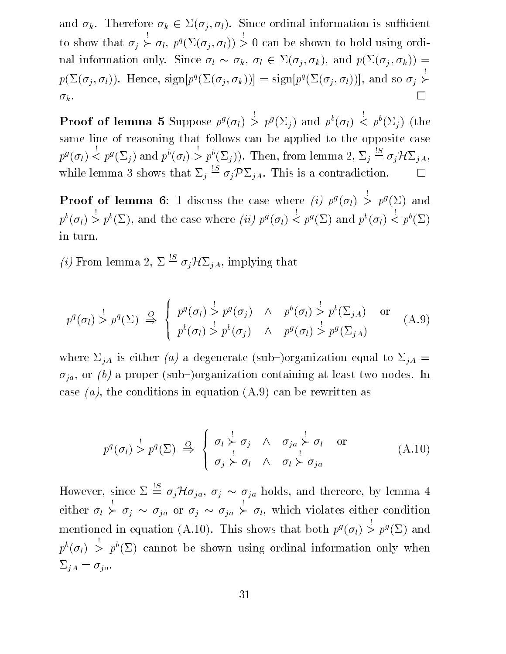and  $\sigma_k$ . Therefore  $\sigma_k \in \Sigma(\sigma_j, \sigma_l)$ . Since ordinal information is sufficient to show that is a shown that is a shown that is a shown that is a shown that is a shown that is a shown that is a shown that is a shown that is a shown that is a shown that is a shown that is a shown that is a shown that  $\succ \sigma_l$ ,  $p^q(\Sigma(\sigma_i, \sigma_l)) > 0$  can be shown to hold using ordinal information only. Since  $\sigma_l \sim \sigma_k$ ,  $\sigma_l \in \Sigma(\sigma_j, \sigma_k)$ , and  $p(\Sigma(\sigma_j, \sigma_k)) =$  $p(\Sigma(\sigma_i, o_i))$ . Hence,  $\text{sign}[p^i(\Sigma(o_i, o_k))] = \text{sign}[p^i(\Sigma(o_i, o_i))]$ , and so  $o_i >$  $\rightarrow$  $k$  . The set of the set of the set of the set of the set of the set of the set of the set of the set of the set of the set of the set of the set of the set of the set of the set of the set of the set of the set of the se

**Proof of lemma 5** Suppose  $p^g(\sigma_l) > p^g(\Sigma_i)$  and  $p^b(\sigma_l) < p^b(\Sigma_i)$  (the same line of reasoning that follows can be applied to the opposite case  $p_{\sigma}(o_1)$  <  $\langle \langle p^g(\Sigma_j) \rangle \rangle = p^b(\overline{\Sigma_j})^{\overline{g}}$ . Then, from lemma  $2, \Sigma_j \stackrel{\cong}{=} \sigma_j \mathcal{H} \Sigma_{jA}$ , while lemma 3 shows that  $\Sigma_i \stackrel{\cong}{=} \sigma_i \mathcal{P} \Sigma_{iA}$ . This is a contradiction.

**Proof of lemma 6**: I discuss the case where  $\{i\}$   $p^s$  ( $o_l$ )  $\ge$  $> p^g(\Sigma)$  and  $p^{b}(\sigma_{l}) > p^{b}(\Sigma)$ , and the case where *(ii)*  $p^{g}(\sigma_{l})$  <  $\langle p^g(\Sigma) \text{ and } p^b(\sigma_l) \langle p^b(\Sigma) \rangle$ in turn.

(i) From lemma 2,  $\Sigma \stackrel{\text{!S}}{=} \sigma_j \mathcal{H} \Sigma_{jA}$ , implying that

$$
p^{q}(\sigma_{l}) \stackrel{!}{>} p^{q}(\Sigma) \stackrel{Q}{\Rightarrow} \begin{cases} p^{g}(\sigma_{l}) \stackrel{!}{>} p^{g}(\sigma_{j}) & \wedge p^{b}(\sigma_{l}) \stackrel{!}{>} p^{b}(\Sigma_{jA}) & \text{or} \\ p^{b}(\sigma_{l}) \stackrel{!}{>} p^{b}(\sigma_{j}) & \wedge p^{g}(\sigma_{l}) \stackrel{!}{>} p^{g}(\Sigma_{jA}) \end{cases}
$$
(A.9)

where  $\Sigma_{jA}$  is either (a) a degenerate (sub-)organization equal to  $\Sigma_{jA}$  =  $\sigma_{ja}$ , or (b) a proper (sub-)organization containing at least two nodes. In case  $(a)$ , the conditions in equation  $(A.9)$  can be rewritten as

$$
p^{q}(\sigma_{l}) \stackrel{!}{>} p^{q}(\Sigma) \stackrel{Q}{\Rightarrow} \begin{cases} \sigma_{l} \stackrel{!}{\succ} \sigma_{j} & \wedge \sigma_{ja} \stackrel{!}{\succ} \sigma_{l} \text{ or} \\ \sigma_{j} \stackrel{!}{\succ} \sigma_{l} & \wedge \sigma_{i} \stackrel{!}{\succ} \sigma_{ja} \end{cases}
$$
(A.10)

However, since  $\Sigma \stackrel{!S}{=} \sigma_j \mathcal{H} \sigma_{ja}$ ,  $\sigma_j \sim \sigma_{ja}$  holds, and thereore, by lemma 4 either leads and a state of the state of the state of the state of the state of the state of the state of the s  $\succ \sigma_i \sim \sigma_{ia}$  or  $\sigma_i \sim \sigma_{ia} \succ \sigma_l$ , which violates either condition mentioned in equation (A.10). This shows that both  $p^g(\sigma_l) > p^g(\Sigma)$  and  $p^{b}(\sigma_l) > p^{b}(\Sigma)$  cannot be shown using ordinal information only when  $\Sigma_{jA} = \sigma_{ja}.$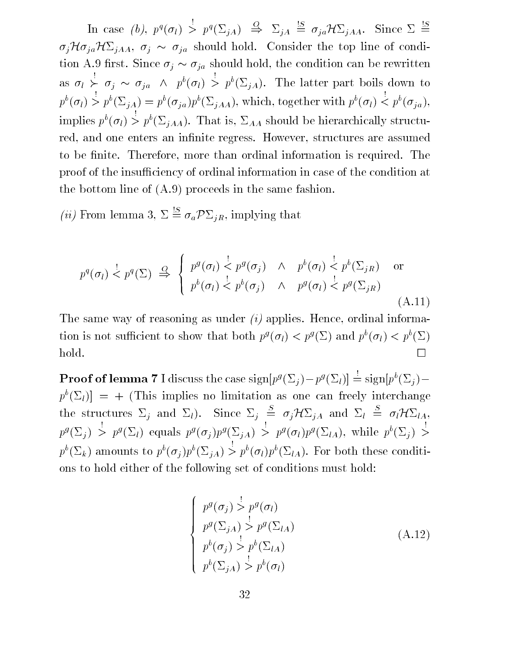In case  $\{0\}, p\{0\} >$  $> p^q(\Sigma_{iA}) \cong \Sigma_{iA} \cong \sigma_{ia} \mathcal{H} \Sigma_{iAA}.$  Since  $\Sigma \cong$  $\sigma_j\mathcal{H}\sigma_{ja}\mathcal{H}\Sigma_{jAA}, \sigma_j \sim \sigma_{ja}$  should hold. Consider the top line of condition A.9 first. Since  $\sigma_j \sim \sigma_{ja}$  should hold, the condition can be rewritten as la construction de la construction de la construction de la construction de la construction de la construction de la construction de la construction de la construction de la construction de la construction de la constru  $\succ \sigma_i \sim \sigma_{ia} \;\land\; p^b(\sigma_l) > p^b(\Sigma_{iA})$ . The latter part boils down to  $p^b(\sigma_l) > p^b(\Sigma_{iA}) = p^b(\sigma_{ia})p^b(\Sigma_{iAA})$ , which, together with  $p^b(\sigma_l) < p^b(\sigma_{ia})$ , implies  $p^b(\sigma_l) > p^b(\Sigma_{iAA})$ . That is,  $\Sigma_{AA}$  should be hierarchically structured, and one enters an infinite regress. However, structures are assumed to be finite. Therefore, more than ordinal information is required. The proof of the insufficiency of ordinal information in case of the condition at the bottom line of (A.9) proceeds in the same fashion.

(*ii*) From lemma 3,  $\Sigma \stackrel{\text{!}S}{=} \sigma_a \mathcal{P} \Sigma_{jR}$ , implying that

<sup>8</sup>

$$
p^{q}(\sigma_{l}) \stackrel{!}{\leq} p^{q}(\Sigma) \stackrel{!}{\Rightarrow} \begin{cases} p^{g}(\sigma_{l}) \stackrel{!}{\leq} p^{g}(\sigma_{j}) & \wedge & p^{b}(\sigma_{l}) \stackrel{!}{\leq} p^{b}(\Sigma_{jR}) \text{ or} \\ p^{b}(\sigma_{l}) \stackrel{!}{\leq} p^{b}(\sigma_{j}) & \wedge & p^{g}(\sigma_{l}) \stackrel{!}{\leq} p^{g}(\Sigma_{jR}) \end{cases}
$$
 (A.11)

The same way of reasoning as under  $(i)$  applies. Hence, ordinal information is not sufficient to show that both  $p^{\sigma}(\theta_l) \leq p^{\sigma}(\Sigma)$  and  $p^{\sigma}(\theta_l) \leq p^{\sigma}(\Sigma)$ П

**Proof of lemma** 7 I discuss the case  $\text{sign}[p^y(\Sigma_i)-p^y(\Sigma_l)] = \text{sign}[p^v(\Sigma_i)-p^y(\Sigma_l)]$  $p^{b}(\Sigma_{l})$  = + (This implies no limitation as one can freely interchange the structures  $\Sigma_i$  and  $\Sigma_l$ ). Since  $\Sigma_i \stackrel{\cong}{=} \sigma_i \mathcal{H} \Sigma_{iA}$  and  $\Sigma_l \stackrel{\cong}{=} \sigma_l \mathcal{H} \Sigma_{lA}$ ,  $p^{j}(\Delta_{i}) >$  $> p^g(\Sigma_l)$  equals  $p^g(\sigma_i)p^g(\Sigma_{iA}) >$  $> p^g(\sigma_l) p^g(\Sigma_{lA}), \text{ while } p^b(\Sigma_i) > 0$ >  $p^{b}(\Sigma_{k})$  amounts to  $p^{b}(\sigma_{i})p^{b}(\Sigma_{iA}) > p^{b}(\sigma_{i})p^{b}(\Sigma_{iA})$ . For both these conditions to hold either of the following set of conditions must hold:

$$
\begin{cases}\np^{g}(\sigma_{j}) > p^{g}(\sigma_{l}) \\
p^{g}(\Sigma_{jA}) > p^{g}(\Sigma_{lA}) \\
p^{b}(\sigma_{j}) > p^{b}(\Sigma_{lA}) \\
p^{b}(\Sigma_{jA}) > p^{b}(\sigma_{l})\n\end{cases} \tag{A.12}
$$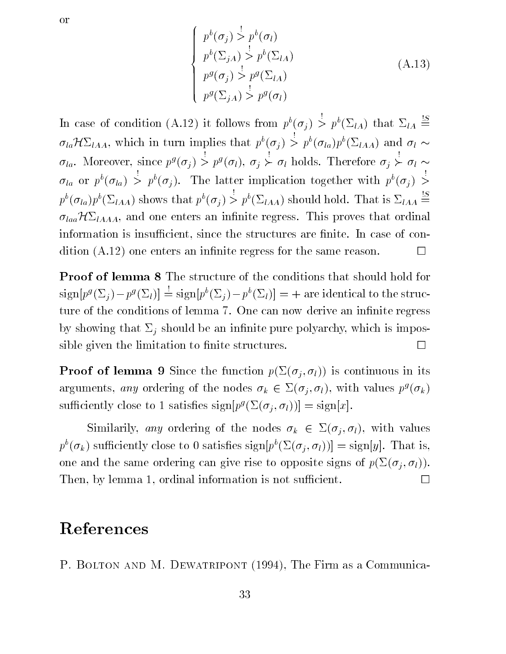$$
\overline{\text{or}}
$$

$$
\begin{cases}\np^b(\sigma_j) > p^b(\sigma_l) \\
p^b(\Sigma_{jA}) > p^b(\Sigma_{lA}) \\
p^g(\sigma_j) > p^g(\Sigma_{lA}) \\
p^g(\Sigma_{jA}) > p^g(\sigma_l)\n\end{cases} \tag{A.13}
$$

In case of condition (A.12) it follows from  $p^b(\sigma_i) > p^b(\Sigma_{lA})$  that  $\Sigma_{lA} \triangleq$  $\sigma_{la} \mathcal{H} \Sigma_{IAA}$ , which in turn implies that  $p^b(\sigma_i) > p^b(\sigma_{la}) p^b(\Sigma_{IAA})$  and  $\sigma_l \sim$  $o_{la}$ . Moreover, since  $p<sup>s</sup>(o_i) >$  $> p^g(\sigma_l), \sigma_j \succ \sigma_l$  holds. Therefore  $\sigma_j \succ \sigma_l$  $\sigma_{la}$  or  $p^b(\sigma_{la}) > p^b(\sigma_i)$ . The latter implication together with  $p^b(\sigma_i) >$ >  $p^{b}(\sigma_{la})p^{b}(\Sigma_{lAA})$  shows that  $p^{b}(\sigma_{i}) > p^{b}(\Sigma_{lAA})$  should hold. That is  $\Sigma_{lAA} \stackrel{\sim}{=}$  $\sigma_{la} \mathcal{H} \Sigma_{IAAA}$ , and one enters an infinite regress. This proves that ordinal information is insufficient, since the structures are finite. In case of condition  $(A.12)$  one enters an infinite regress for the same reason.  $\Box$ 

Proof of lemma 8 The structure of the conditions that should hold for  $sign[p^g(\Sigma_j)-p^g(\Sigma_l)] \stackrel{!}{=} sign[p^b(\Sigma_j)-p^b(\Sigma_l)] = +$  are identical to the structure of the conditions of lemma 7. One can now derive an infinite regress by showing that  $\Sigma_j$  should be an infinite pure polyarchy, which is impossible given the limitation to finite structures.  $\Box$ 

**Proof of lemma 9** Since the function  $p(\Sigma(\sigma_i, \sigma_l))$  is continuous in its arguments, any ordering of the nodes  $\sigma_k \in \Sigma(\sigma_i, \sigma_l)$ , with values  $p^g(\sigma_k)$ suniciently close to 1 satisfies  $sign[p^{\sigma}(\varSigma(\sigma_i, \sigma_l))] = sign[x].$ 

Similarily, any ordering of the nodes  $\sigma_k \in \Sigma(\sigma_j, \sigma_l)$ , with values  $p\left( \sigma_{k}\right)$  sufficiently close to 0 satisfies sign $|p\left( \Sigma(\sigma_{i},\sigma_{l})\right)|=$  sign $|y|$ . That is, one and the same ordering can give rise to opposite signs of  $p(\Sigma(\sigma_i, \sigma_l)).$ Then, by lemma 1, ordinal information is not sufficient.  $\Box$ 

## References

P. BOLTON AND M. DEWATRIPONT (1994), The Firm as a Communica-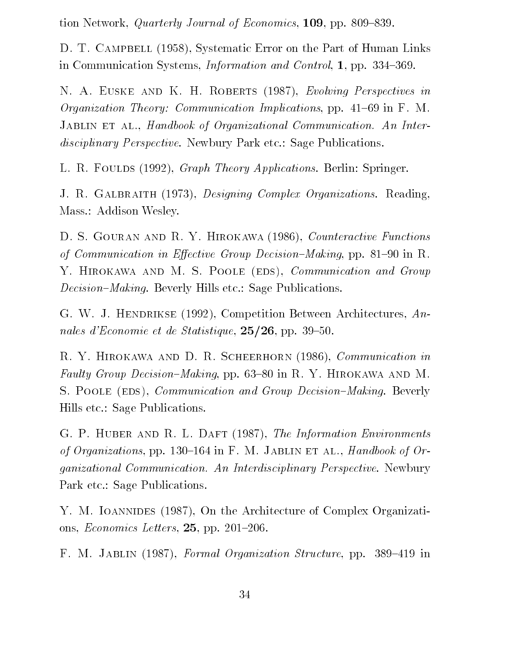tion Network, *Quarterly Journal of Economics*, 109, pp. 809–839.

D. T. CAMPBELL (1958), Systematic Error on the Part of Human Links in Communication Systems, *Information and Control*, 1, pp. 334–369.

N. A. EUSKE AND K. H. ROBERTS (1987), Evolving Perspectives in *Organization Theory: Communication Implications*, pp. 41–69 in F. M. JABLIN ET AL., Handbook of Organizational Communication. An Interdisciplinary Perspective. Newbury Park etc.: Sage Publications.

L. R. FOULDS (1992), *Graph Theory Applications*. Berlin: Springer.

J. R. GALBRAITH (1973), *Designing Complex Organizations.* Reading, Mass.: Addison Wesley.

D. S. GOURAN AND R. Y. HIROKAWA (1986), Counteractive Functions of Communication in Effective Group Decision-Making, pp. 81-90 in R. Y. HIROKAWA AND M. S. POOLE (EDS), *Communication and Group* Decision-Making. Beverly Hills etc.: Sage Publications.

G. W. J. HENDRIKSE (1992), Competition Between Architectures, Annales d'Economie et de Statistique,  $25/26$ , pp. 39-50.

R. Y. HIROKAWA AND D. R. SCHEERHORN (1986), *Communication in* Faulty Group Decision-Making, pp. 63-80 in R. Y. HIROKAWA AND M. S. POOLE (EDS), *Communication and Group Decision–Making.* Beverly Hills etc.: Sage Publications.

G. P. HUBER AND R. L. DAFT (1987), The Information Environments of Organizations, pp. 130–164 in F. M. JABLIN ET AL., Handbook of Organizational Communication. An Interdisciplinary Perspective. Newbury Park etc.: Sage Publications.

Y. M. IOANNIDES (1987), On the Architecture of Complex Organizations, *Economics Letters*,  $25$ , pp.  $201-206$ .

F. M. JABLIN (1987), Formal Organization Structure, pp. 389-419 in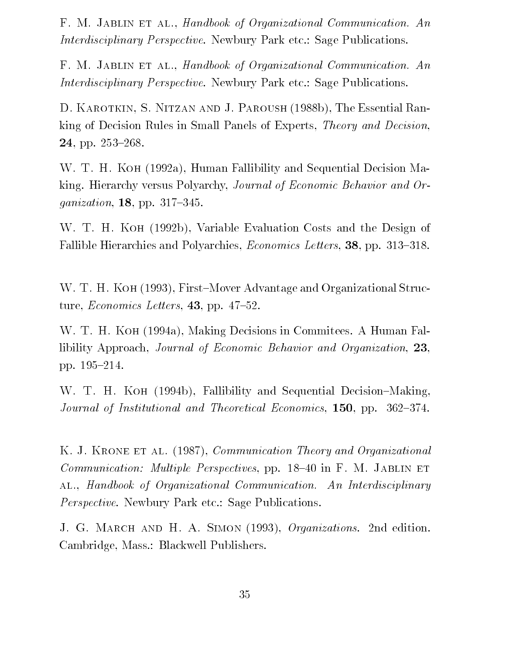F. M. JABLIN ET AL., Handbook of Organizational Communication. An Interdisciplinary Perspective. Newbury Park etc.: Sage Publications.

F. M. JABLIN ET AL., Handbook of Organizational Communication. An Interdisciplinary Perspective. Newbury Park etc.: Sage Publications.

D. Karotkin, S. Nitzan and J. Paroush (1988b), The Essential Ranking of Decision Rules in Small Panels of Experts, Theory and Decision, 24, pp.  $253-268$ .

W. T. H. Koh (1992a), Human Fallibility and Sequential Decision Making. Hierarchy versus Polyarchy, Journal of Economic Behavior and Or*ganization*, **18**, pp. 317-345.

W. T. H. Koh (1992b), Variable Evaluation Costs and the Design of Fallible Hierarchies and Polyarchies, *Economics Letters*, **38**, pp. 313-318.

W. T. H. KOH (1993), First-Mover Advantage and Organizational Structure, *Economics Letters*, **43**, pp.  $47-52$ .

W. T. H. Koh (1994a), Making Decisions in Commitees. A Human Fallibility Approach, *Journal of Economic Behavior and Organization*, 23, pp. 195-214.

W. T. H. KOH (1994b), Fallibility and Sequential Decision–Making, Journal of Institutional and Theoretical Economics,  $150$ , pp.  $362-374$ .

K. J. KRONE ET AL. (1987), *Communication Theory and Organizational Communication: Multiple Perspectives, pp.*  $18–40$  in F. M. JABLIN ET al., Handbook of Organizational Communication. An Interdisciplinary Perspective. Newbury Park etc.: Sage Publications.

J. G. MARCH AND H. A. SIMON (1993), Organizations. 2nd edition. Cambridge, Mass.: Blackwell Publishers.